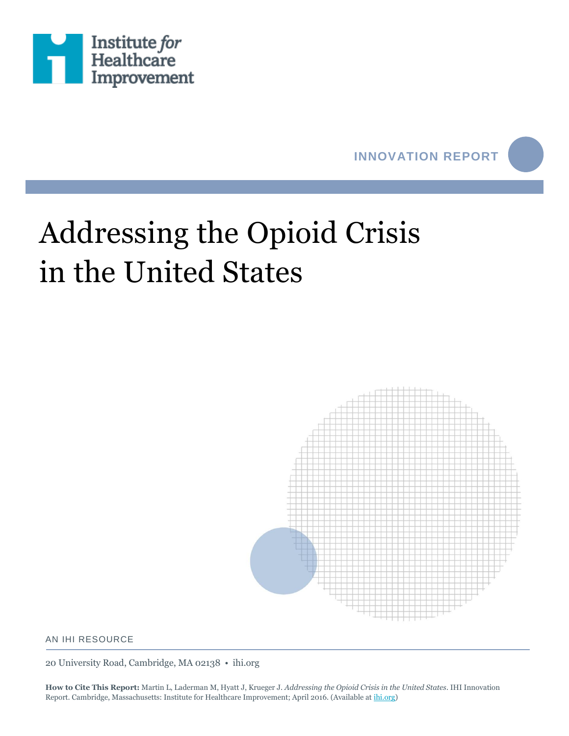



# Addressing the Opioid Crisis in the United States



#### AN IHI RESOURCE

20 University Road, Cambridge, MA 02138 • ihi.org

**How to Cite This Report:** Martin L, Laderman M, Hyatt J, Krueger J. *Addressing the Opioid Crisis in the United States*. IHI Innovation Report. Cambridge, Massachusetts: Institute for Healthcare Improvement; April 2016. (Available a[t ihi.org\)](http://www.ihi.org/)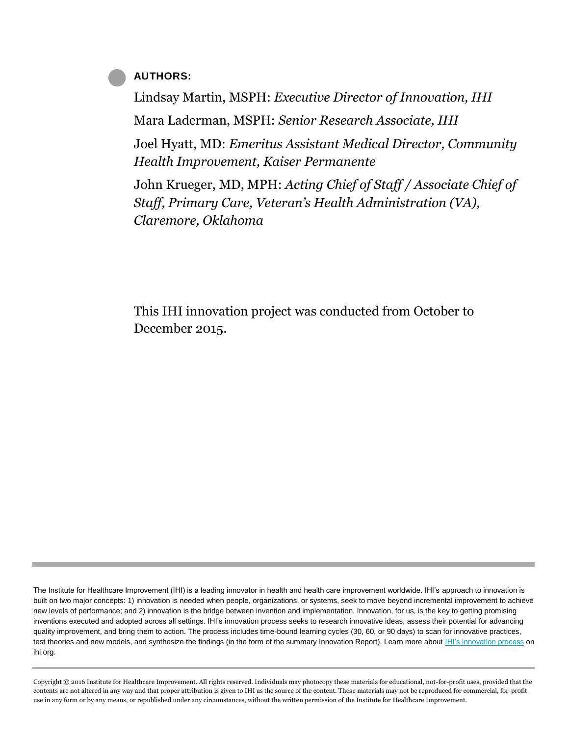#### **AUTHORS:**

Lindsay Martin, MSPH: *Executive Director of Innovation, IHI* Mara Laderman, MSPH: *Senior Research Associate, IHI*

Joel Hyatt, MD: *Emeritus Assistant Medical Director, Community Health Improvement, Kaiser Permanente*

John Krueger, MD, MPH: *Acting Chief of Staff / Associate Chief of Staff, Primary Care, Veteran's Health Administration (VA), Claremore, Oklahoma*

This IHI innovation project was conducted from October to December 2015.

The Institute for Healthcare Improvement (IHI) is a leading innovator in health and health care improvement worldwide. IHI's approach to innovation is built on two major concepts: 1) innovation is needed when people, organizations, or systems, seek to move beyond incremental improvement to achieve new levels of performance; and 2) innovation is the bridge between invention and implementation. Innovation, for us, is the key to getting promising inventions executed and adopted across all settings. IHI's innovation process seeks to research innovative ideas, assess their potential for advancing quality improvement, and bring them to action. The process includes time-bound learning cycles (30, 60, or 90 days) to scan for innovative practices, test theories and new models, and synthesize the findings (in the form of the summary Innovation Report). Learn more about [IHI's innovation process](http://www.ihi.org/Engage/CustomExpertise/Pages/Innovation.aspx) on ihi.org.

Copyright © 2016 Institute for Healthcare Improvement. All rights reserved. Individuals may photocopy these materials for educational, not-for-profit uses, provided that the contents are not altered in any way and that proper attribution is given to IHI as the source of the content. These materials may not be reproduced for commercial, for-profit use in any form or by any means, or republished under any circumstances, without the written permission of the Institute for Healthcare Improvement.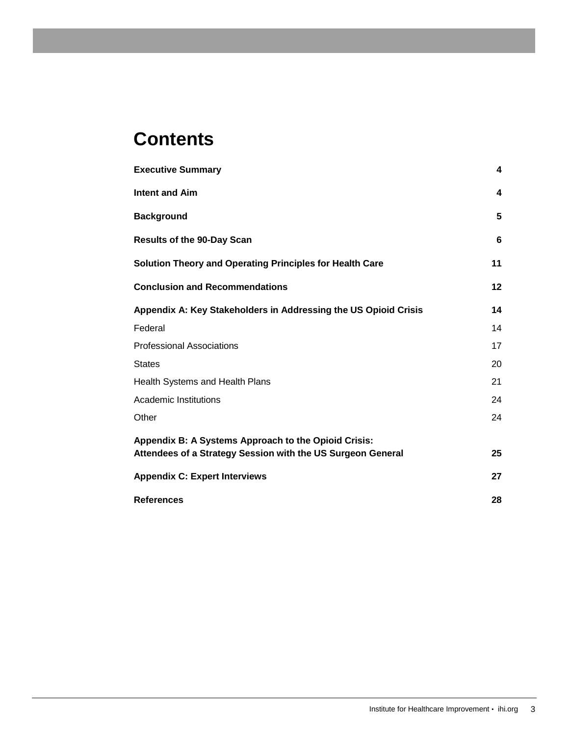# **Contents**

| <b>Executive Summary</b>                                                                                            | 4  |
|---------------------------------------------------------------------------------------------------------------------|----|
| <b>Intent and Aim</b>                                                                                               | 4  |
| <b>Background</b>                                                                                                   | 5  |
| <b>Results of the 90-Day Scan</b>                                                                                   | 6  |
| <b>Solution Theory and Operating Principles for Health Care</b>                                                     | 11 |
| <b>Conclusion and Recommendations</b>                                                                               | 12 |
| Appendix A: Key Stakeholders in Addressing the US Opioid Crisis                                                     | 14 |
| Federal                                                                                                             | 14 |
| <b>Professional Associations</b>                                                                                    | 17 |
| <b>States</b>                                                                                                       | 20 |
| Health Systems and Health Plans                                                                                     | 21 |
| Academic Institutions                                                                                               | 24 |
| Other                                                                                                               | 24 |
| Appendix B: A Systems Approach to the Opioid Crisis:<br>Attendees of a Strategy Session with the US Surgeon General | 25 |
| <b>Appendix C: Expert Interviews</b>                                                                                | 27 |
| <b>References</b>                                                                                                   | 28 |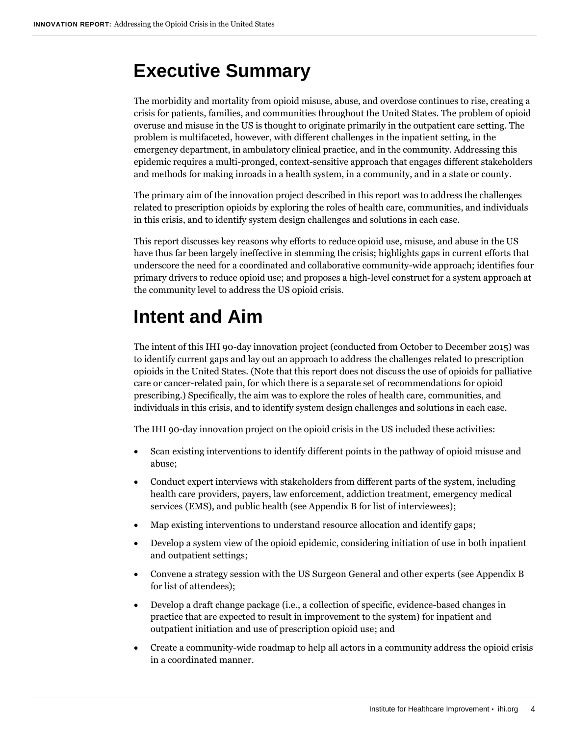## <span id="page-3-0"></span>**Executive Summary**

The morbidity and mortality from opioid misuse, abuse, and overdose continues to rise, creating a crisis for patients, families, and communities throughout the United States. The problem of opioid overuse and misuse in the US is thought to originate primarily in the outpatient care setting. The problem is multifaceted, however, with different challenges in the inpatient setting, in the emergency department, in ambulatory clinical practice, and in the community. Addressing this epidemic requires a multi-pronged, context-sensitive approach that engages different stakeholders and methods for making inroads in a health system, in a community, and in a state or county.

The primary aim of the innovation project described in this report was to address the challenges related to prescription opioids by exploring the roles of health care, communities, and individuals in this crisis, and to identify system design challenges and solutions in each case.

This report discusses key reasons why efforts to reduce opioid use, misuse, and abuse in the US have thus far been largely ineffective in stemming the crisis; highlights gaps in current efforts that underscore the need for a coordinated and collaborative community-wide approach; identifies four primary drivers to reduce opioid use; and proposes a high-level construct for a system approach at the community level to address the US opioid crisis.

# <span id="page-3-1"></span>**Intent and Aim**

The intent of this IHI 90-day innovation project (conducted from October to December 2015) was to identify current gaps and lay out an approach to address the challenges related to prescription opioids in the United States. (Note that this report does not discuss the use of opioids for palliative care or cancer-related pain, for which there is a separate set of recommendations for opioid prescribing.) Specifically, the aim was to explore the roles of health care, communities, and individuals in this crisis, and to identify system design challenges and solutions in each case.

The IHI 90-day innovation project on the opioid crisis in the US included these activities:

- Scan existing interventions to identify different points in the pathway of opioid misuse and abuse;
- Conduct expert interviews with stakeholders from different parts of the system, including health care providers, payers, law enforcement, addiction treatment, emergency medical services (EMS), and public health (see Appendix B for list of interviewees);
- Map existing interventions to understand resource allocation and identify gaps;
- Develop a system view of the opioid epidemic, considering initiation of use in both inpatient and outpatient settings;
- Convene a strategy session with the US Surgeon General and other experts (see Appendix B for list of attendees);
- Develop a draft change package (i.e., a collection of specific, evidence-based changes in practice that are expected to result in improvement to the system) for inpatient and outpatient initiation and use of prescription opioid use; and
- Create a community-wide roadmap to help all actors in a community address the opioid crisis in a coordinated manner.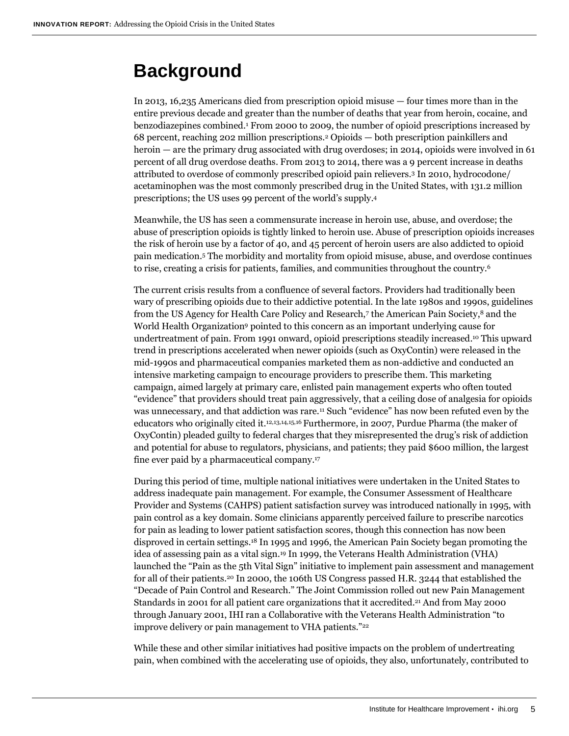### <span id="page-4-0"></span>**Background**

In 2013, 16,235 Americans died from prescription opioid misuse — four times more than in the entire previous decade and greater than the number of deaths that year from heroin, cocaine, and benzodiazepines combined. <sup>1</sup> From 2000 to 2009, the number of opioid prescriptions increased by 68 percent, reaching 202 million prescriptions.<sup>2</sup> Opioids — both prescription painkillers and heroin — are the primary drug associated with drug overdoses; in 2014, opioids were involved in 61 percent of all drug overdose deaths. From 2013 to 2014, there was a 9 percent increase in deaths attributed to overdose of commonly prescribed opioid pain relievers.<sup>3</sup> In 2010, hydrocodone/ acetaminophen was the most commonly prescribed drug in the United States, with 131.2 million prescriptions; the US uses 99 percent of the world's supply. 4

Meanwhile, the US has seen a commensurate increase in heroin use, abuse, and overdose; the abuse of prescription opioids is tightly linked to heroin use. Abuse of prescription opioids increases the risk of heroin use by a factor of 40, and 45 percent of heroin users are also addicted to opioid pain medication.<sup>5</sup> The morbidity and mortality from opioid misuse, abuse, and overdose continues to rise, creating a crisis for patients, families, and communities throughout the country.<sup>6</sup>

The current crisis results from a confluence of several factors. Providers had traditionally been wary of prescribing opioids due to their addictive potential. In the late 1980s and 1990s, guidelines from the US Agency for Health Care Policy and Research,7 the American Pain Society,<sup>8</sup> and the World Health Organization<sup>9</sup> pointed to this concern as an important underlying cause for undertreatment of pain. From 1991 onward, opioid prescriptions steadily increased. <sup>10</sup> This upward trend in prescriptions accelerated when newer opioids (such as OxyContin) were released in the mid-1990s and pharmaceutical companies marketed them as non-addictive and conducted an intensive marketing campaign to encourage providers to prescribe them. This marketing campaign, aimed largely at primary care, enlisted pain management experts who often touted "evidence" that providers should treat pain aggressively, that a ceiling dose of analgesia for opioids was unnecessary, and that addiction was rare.<sup>11</sup> Such "evidence" has now been refuted even by the educators who originally cited it. 12,13,14,15,16 Furthermore, in 2007, Purdue Pharma (the maker of OxyContin) pleaded guilty to federal charges that they misrepresented the drug's risk of addiction and potential for abuse to regulators, physicians, and patients; they paid \$600 million, the largest fine ever paid by a pharmaceutical company. 17

During this period of time, multiple national initiatives were undertaken in the United States to address inadequate pain management. For example, the Consumer Assessment of Healthcare Provider and Systems (CAHPS) patient satisfaction survey was introduced nationally in 1995, with pain control as a key domain. Some clinicians apparently perceived failure to prescribe narcotics for pain as leading to lower patient satisfaction scores, though this connection has now been disproved in certain settings. <sup>18</sup> In 1995 and 1996, the American Pain Society began promoting the idea of assessing pain as a vital sign.<sup>19</sup> In 1999, the Veterans Health Administration (VHA) launched the "Pain as the 5th Vital Sign" initiative to implement pain assessment and management for all of their patients.<sup>20</sup> In 2000, the 106th US Congress passed H.R. 3244 that established the "Decade of Pain Control and Research." The Joint Commission rolled out new Pain Management Standards in 2001 for all patient care organizations that it accredited.<sup>21</sup> And from May 2000 through January 2001, IHI ran a Collaborative with the Veterans Health Administration "to improve delivery or pain management to VHA patients."<sup>22</sup>

While these and other similar initiatives had positive impacts on the problem of undertreating pain, when combined with the accelerating use of opioids, they also, unfortunately, contributed to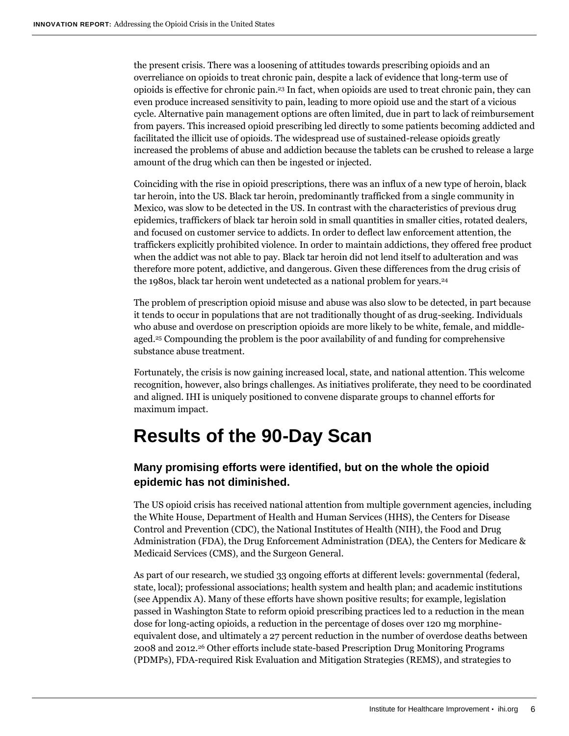the present crisis. There was a loosening of attitudes towards prescribing opioids and an overreliance on opioids to treat chronic pain, despite a lack of evidence that long-term use of opioids is effective for chronic pain. <sup>23</sup> In fact, when opioids are used to treat chronic pain, they can even produce increased sensitivity to pain, leading to more opioid use and the start of a vicious cycle. Alternative pain management options are often limited, due in part to lack of reimbursement from payers. This increased opioid prescribing led directly to some patients becoming addicted and facilitated the illicit use of opioids. The widespread use of sustained-release opioids greatly increased the problems of abuse and addiction because the tablets can be crushed to release a large amount of the drug which can then be ingested or injected.

Coinciding with the rise in opioid prescriptions, there was an influx of a new type of heroin, black tar heroin, into the US. Black tar heroin, predominantly trafficked from a single community in Mexico, was slow to be detected in the US. In contrast with the characteristics of previous drug epidemics, traffickers of black tar heroin sold in small quantities in smaller cities, rotated dealers, and focused on customer service to addicts. In order to deflect law enforcement attention, the traffickers explicitly prohibited violence. In order to maintain addictions, they offered free product when the addict was not able to pay. Black tar heroin did not lend itself to adulteration and was therefore more potent, addictive, and dangerous. Given these differences from the drug crisis of the 1980s, black tar heroin went undetected as a national problem for years. 24

The problem of prescription opioid misuse and abuse was also slow to be detected, in part because it tends to occur in populations that are not traditionally thought of as drug-seeking. Individuals who abuse and overdose on prescription opioids are more likely to be white, female, and middleaged.<sup>25</sup> Compounding the problem is the poor availability of and funding for comprehensive substance abuse treatment.

Fortunately, the crisis is now gaining increased local, state, and national attention. This welcome recognition, however, also brings challenges. As initiatives proliferate, they need to be coordinated and aligned. IHI is uniquely positioned to convene disparate groups to channel efforts for maximum impact.

### <span id="page-5-0"></span>**Results of the 90-Day Scan**

### **Many promising efforts were identified, but on the whole the opioid epidemic has not diminished.**

The US opioid crisis has received national attention from multiple government agencies, including the White House, Department of Health and Human Services (HHS), the Centers for Disease Control and Prevention (CDC), the National Institutes of Health (NIH), the Food and Drug Administration (FDA), the Drug Enforcement Administration (DEA), the Centers for Medicare & Medicaid Services (CMS), and the Surgeon General.

As part of our research, we studied 33 ongoing efforts at different levels: governmental (federal, state, local); professional associations; health system and health plan; and academic institutions (see Appendix A). Many of these efforts have shown positive results; for example, legislation passed in Washington State to reform opioid prescribing practices led to a reduction in the mean dose for long-acting opioids, a reduction in the percentage of doses over 120 mg morphineequivalent dose, and ultimately a 27 percent reduction in the number of overdose deaths between 2008 and 2012.<sup>26</sup> Other efforts include state-based Prescription Drug Monitoring Programs (PDMPs), FDA-required Risk Evaluation and Mitigation Strategies (REMS), and strategies to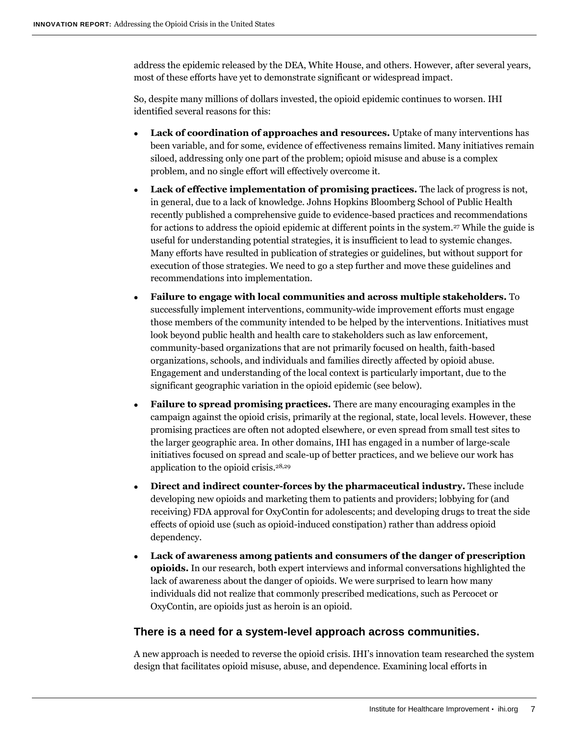address the epidemic released by the DEA, White House, and others. However, after several years, most of these efforts have yet to demonstrate significant or widespread impact.

So, despite many millions of dollars invested, the opioid epidemic continues to worsen. IHI identified several reasons for this:

- **Lack of coordination of approaches and resources.** Uptake of many interventions has been variable, and for some, evidence of effectiveness remains limited. Many initiatives remain siloed, addressing only one part of the problem; opioid misuse and abuse is a complex problem, and no single effort will effectively overcome it.
- **Lack of effective implementation of promising practices.** The lack of progress is not, in general, due to a lack of knowledge. Johns Hopkins Bloomberg School of Public Health recently published a comprehensive guide to evidence-based practices and recommendations for actions to address the opioid epidemic at different points in the system.<sup>27</sup> While the guide is useful for understanding potential strategies, it is insufficient to lead to systemic changes. Many efforts have resulted in publication of strategies or guidelines, but without support for execution of those strategies. We need to go a step further and move these guidelines and recommendations into implementation.
- **Failure to engage with local communities and across multiple stakeholders.** To successfully implement interventions, community-wide improvement efforts must engage those members of the community intended to be helped by the interventions. Initiatives must look beyond public health and health care to stakeholders such as law enforcement, community-based organizations that are not primarily focused on health, faith-based organizations, schools, and individuals and families directly affected by opioid abuse. Engagement and understanding of the local context is particularly important, due to the significant geographic variation in the opioid epidemic (see below).
- **Failure to spread promising practices.** There are many encouraging examples in the campaign against the opioid crisis, primarily at the regional, state, local levels. However, these promising practices are often not adopted elsewhere, or even spread from small test sites to the larger geographic area. In other domains, IHI has engaged in a number of large-scale initiatives focused on spread and scale-up of better practices, and we believe our work has application to the opioid crisis. 28,29
- **Direct and indirect counter-forces by the pharmaceutical industry.** These include developing new opioids and marketing them to patients and providers; lobbying for (and receiving) FDA approval for OxyContin for adolescents; and developing drugs to treat the side effects of opioid use (such as opioid-induced constipation) rather than address opioid dependency.
- **Lack of awareness among patients and consumers of the danger of prescription opioids.** In our research, both expert interviews and informal conversations highlighted the lack of awareness about the danger of opioids. We were surprised to learn how many individuals did not realize that commonly prescribed medications, such as Percocet or OxyContin, are opioids just as heroin is an opioid.

#### **There is a need for a system-level approach across communities.**

A new approach is needed to reverse the opioid crisis. IHI's innovation team researched the system design that facilitates opioid misuse, abuse, and dependence. Examining local efforts in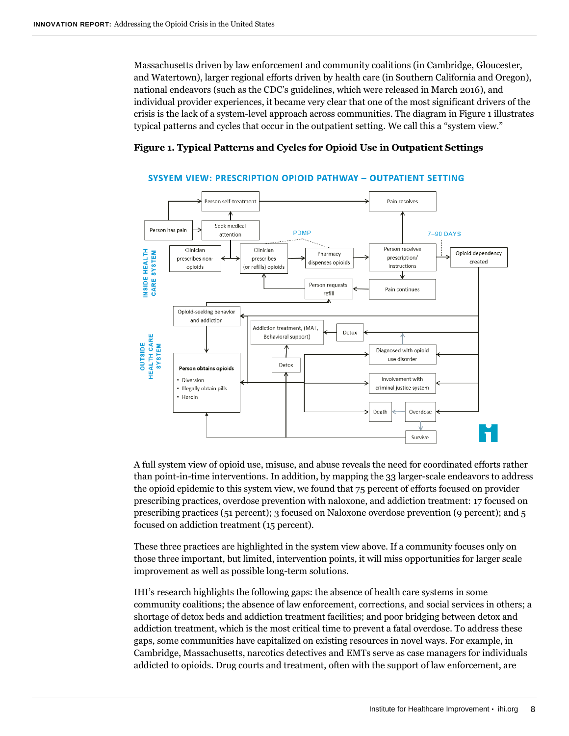Massachusetts driven by law enforcement and community coalitions (in Cambridge, Gloucester, and Watertown), larger regional efforts driven by health care (in Southern California and Oregon), national endeavors (such as the CDC's guidelines, which were released in March 2016), and individual provider experiences, it became very clear that one of the most significant drivers of the crisis is the lack of a system-level approach across communities. The diagram in Figure 1 illustrates typical patterns and cycles that occur in the outpatient setting. We call this a "system view."

#### **Figure 1. Typical Patterns and Cycles for Opioid Use in Outpatient Settings**



#### **SYSYEM VIEW: PRESCRIPTION OPIOID PATHWAY - OUTPATIENT SETTING**

A full system view of opioid use, misuse, and abuse reveals the need for coordinated efforts rather than point-in-time interventions. In addition, by mapping the 33 larger-scale endeavors to address the opioid epidemic to this system view, we found that 75 percent of efforts focused on provider prescribing practices, overdose prevention with naloxone, and addiction treatment: 17 focused on prescribing practices (51 percent); 3 focused on Naloxone overdose prevention (9 percent); and 5 focused on addiction treatment (15 percent).

These three practices are highlighted in the system view above. If a community focuses only on those three important, but limited, intervention points, it will miss opportunities for larger scale improvement as well as possible long-term solutions.

IHI's research highlights the following gaps: the absence of health care systems in some community coalitions; the absence of law enforcement, corrections, and social services in others; a shortage of detox beds and addiction treatment facilities; and poor bridging between detox and addiction treatment, which is the most critical time to prevent a fatal overdose. To address these gaps, some communities have capitalized on existing resources in novel ways. For example, in Cambridge, Massachusetts, narcotics detectives and EMTs serve as case managers for individuals addicted to opioids. Drug courts and treatment, often with the support of law enforcement, are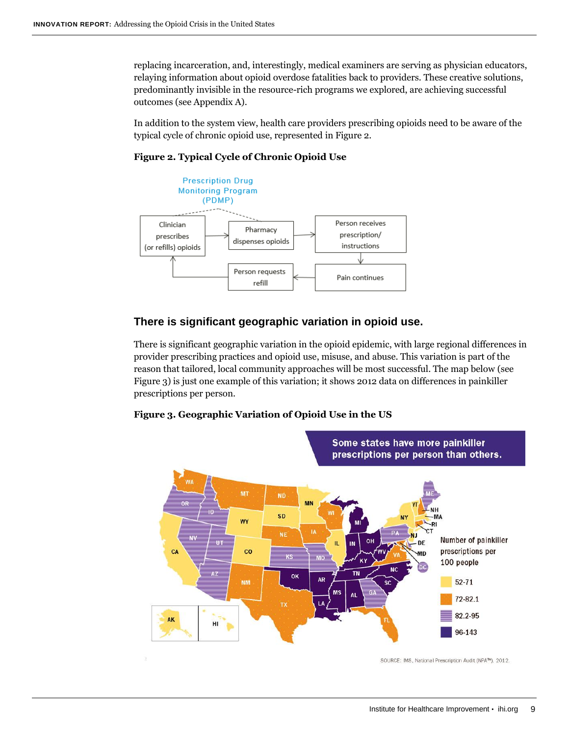replacing incarceration, and, interestingly, medical examiners are serving as physician educators, relaying information about opioid overdose fatalities back to providers. These creative solutions, predominantly invisible in the resource-rich programs we explored, are achieving successful outcomes (see Appendix A).

In addition to the system view, health care providers prescribing opioids need to be aware of the typical cycle of chronic opioid use, represented in Figure 2.





#### **There is significant geographic variation in opioid use.**

There is significant geographic variation in the opioid epidemic, with large regional differences in provider prescribing practices and opioid use, misuse, and abuse. This variation is part of the reason that tailored, local community approaches will be most successful. The map below (see Figure 3) is just one example of this variation; it shows 2012 data on differences in painkiller prescriptions per person.

#### **Figure 3. Geographic Variation of Opioid Use in the US**



SOURCE: IMS, National Prescription Audit (NPA™), 2012.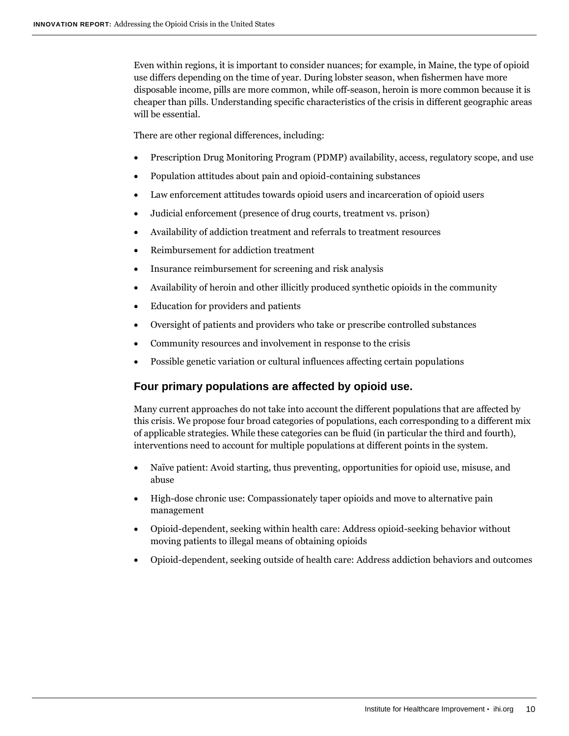Even within regions, it is important to consider nuances; for example, in Maine, the type of opioid use differs depending on the time of year. During lobster season, when fishermen have more disposable income, pills are more common, while off-season, heroin is more common because it is cheaper than pills. Understanding specific characteristics of the crisis in different geographic areas will be essential.

There are other regional differences, including:

- Prescription Drug Monitoring Program (PDMP) availability, access, regulatory scope, and use
- Population attitudes about pain and opioid-containing substances
- Law enforcement attitudes towards opioid users and incarceration of opioid users
- Judicial enforcement (presence of drug courts, treatment vs. prison)
- Availability of addiction treatment and referrals to treatment resources
- Reimbursement for addiction treatment
- Insurance reimbursement for screening and risk analysis
- Availability of heroin and other illicitly produced synthetic opioids in the community
- Education for providers and patients
- Oversight of patients and providers who take or prescribe controlled substances
- Community resources and involvement in response to the crisis
- Possible genetic variation or cultural influences affecting certain populations

#### **Four primary populations are affected by opioid use.**

Many current approaches do not take into account the different populations that are affected by this crisis. We propose four broad categories of populations, each corresponding to a different mix of applicable strategies. While these categories can be fluid (in particular the third and fourth), interventions need to account for multiple populations at different points in the system.

- Naïve patient: Avoid starting, thus preventing, opportunities for opioid use, misuse, and abuse
- High-dose chronic use: Compassionately taper opioids and move to alternative pain management
- Opioid-dependent, seeking within health care: Address opioid-seeking behavior without moving patients to illegal means of obtaining opioids
- <span id="page-9-0"></span>Opioid-dependent, seeking outside of health care: Address addiction behaviors and outcomes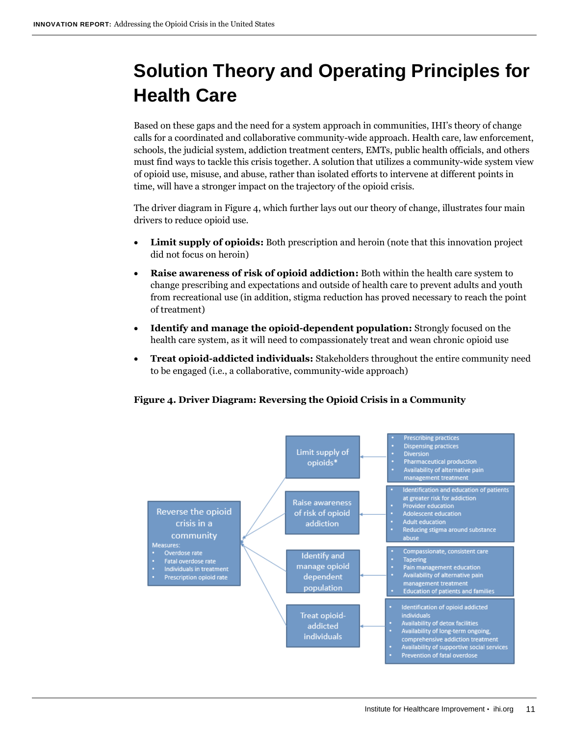# **Solution Theory and Operating Principles for Health Care**

Based on these gaps and the need for a system approach in communities, IHI's theory of change calls for a coordinated and collaborative community-wide approach. Health care, law enforcement, schools, the judicial system, addiction treatment centers, EMTs, public health officials, and others must find ways to tackle this crisis together. A solution that utilizes a community-wide system view of opioid use, misuse, and abuse, rather than isolated efforts to intervene at different points in time, will have a stronger impact on the trajectory of the opioid crisis.

The driver diagram in Figure 4, which further lays out our theory of change, illustrates four main drivers to reduce opioid use.

- **Limit supply of opioids:** Both prescription and heroin (note that this innovation project did not focus on heroin)
- **Raise awareness of risk of opioid addiction:** Both within the health care system to change prescribing and expectations and outside of health care to prevent adults and youth from recreational use (in addition, stigma reduction has proved necessary to reach the point of treatment)
- **Identify and manage the opioid-dependent population:** Strongly focused on the health care system, as it will need to compassionately treat and wean chronic opioid use
- **Treat opioid-addicted individuals:** Stakeholders throughout the entire community need to be engaged (i.e., a collaborative, community-wide approach)

#### **Figure 4. Driver Diagram: Reversing the Opioid Crisis in a Community**

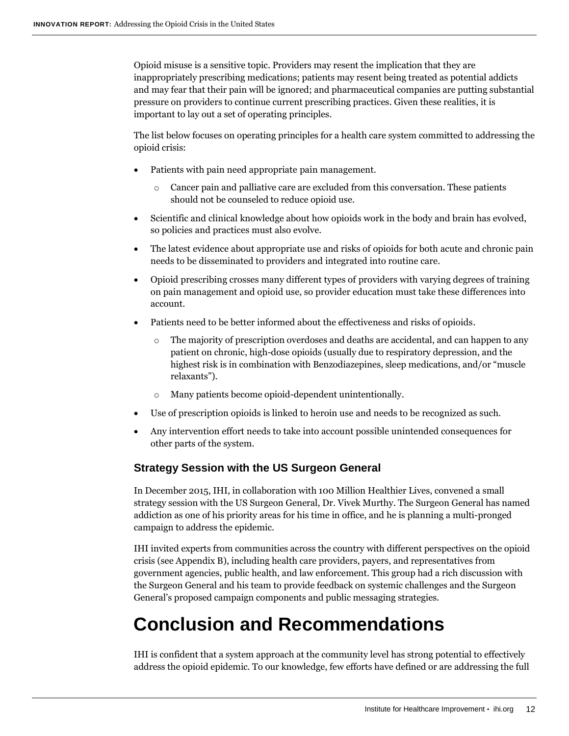Opioid misuse is a sensitive topic. Providers may resent the implication that they are inappropriately prescribing medications; patients may resent being treated as potential addicts and may fear that their pain will be ignored; and pharmaceutical companies are putting substantial pressure on providers to continue current prescribing practices. Given these realities, it is important to lay out a set of operating principles.

The list below focuses on operating principles for a health care system committed to addressing the opioid crisis:

- Patients with pain need appropriate pain management.
	- Cancer pain and palliative care are excluded from this conversation. These patients should not be counseled to reduce opioid use.
- Scientific and clinical knowledge about how opioids work in the body and brain has evolved, so policies and practices must also evolve.
- The latest evidence about appropriate use and risks of opioids for both acute and chronic pain needs to be disseminated to providers and integrated into routine care.
- Opioid prescribing crosses many different types of providers with varying degrees of training on pain management and opioid use, so provider education must take these differences into account.
- Patients need to be better informed about the effectiveness and risks of opioids.
	- o The majority of prescription overdoses and deaths are accidental, and can happen to any patient on chronic, high-dose opioids (usually due to respiratory depression, and the highest risk is in combination with Benzodiazepines, sleep medications, and/or "muscle relaxants").
	- o Many patients become opioid-dependent unintentionally.
- Use of prescription opioids is linked to heroin use and needs to be recognized as such.
- Any intervention effort needs to take into account possible unintended consequences for other parts of the system.

#### **Strategy Session with the US Surgeon General**

In December 2015, IHI, in collaboration with 100 Million Healthier Lives, convened a small strategy session with the US Surgeon General, Dr. Vivek Murthy. The Surgeon General has named addiction as one of his priority areas for his time in office, and he is planning a multi-pronged campaign to address the epidemic.

IHI invited experts from communities across the country with different perspectives on the opioid crisis (see Appendix B), including health care providers, payers, and representatives from government agencies, public health, and law enforcement. This group had a rich discussion with the Surgeon General and his team to provide feedback on systemic challenges and the Surgeon General's proposed campaign components and public messaging strategies.

### <span id="page-11-0"></span>**Conclusion and Recommendations**

IHI is confident that a system approach at the community level has strong potential to effectively address the opioid epidemic. To our knowledge, few efforts have defined or are addressing the full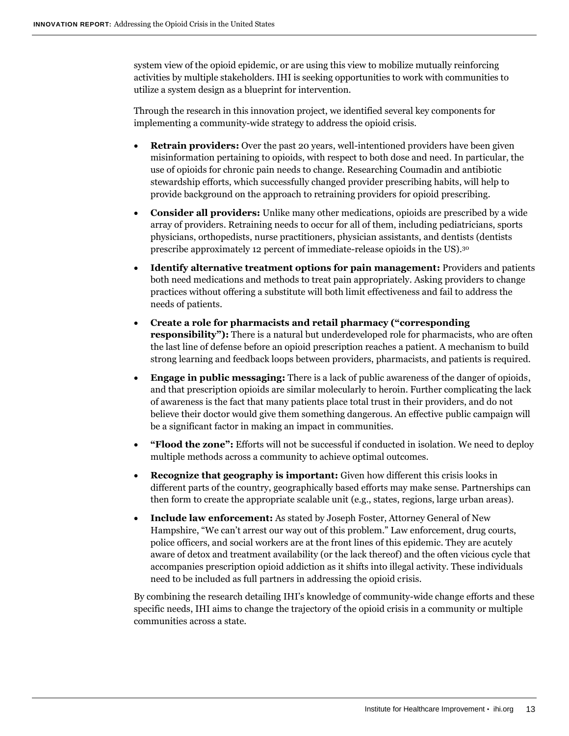system view of the opioid epidemic, or are using this view to mobilize mutually reinforcing activities by multiple stakeholders. IHI is seeking opportunities to work with communities to utilize a system design as a blueprint for intervention.

Through the research in this innovation project, we identified several key components for implementing a community-wide strategy to address the opioid crisis.

- **Retrain providers:** Over the past 20 years, well-intentioned providers have been given misinformation pertaining to opioids, with respect to both dose and need. In particular, the use of opioids for chronic pain needs to change. Researching Coumadin and antibiotic stewardship efforts, which successfully changed provider prescribing habits, will help to provide background on the approach to retraining providers for opioid prescribing.
- **Consider all providers:** Unlike many other medications, opioids are prescribed by a wide array of providers. Retraining needs to occur for all of them, including pediatricians, sports physicians, orthopedists, nurse practitioners, physician assistants, and dentists (dentists prescribe approximately 12 percent of immediate-release opioids in the US).<sup>30</sup>
- **Identify alternative treatment options for pain management:** Providers and patients both need medications and methods to treat pain appropriately. Asking providers to change practices without offering a substitute will both limit effectiveness and fail to address the needs of patients.
- **Create a role for pharmacists and retail pharmacy ("corresponding responsibility"):** There is a natural but underdeveloped role for pharmacists, who are often the last line of defense before an opioid prescription reaches a patient. A mechanism to build strong learning and feedback loops between providers, pharmacists, and patients is required.
- **Engage in public messaging:** There is a lack of public awareness of the danger of opioids, and that prescription opioids are similar molecularly to heroin. Further complicating the lack of awareness is the fact that many patients place total trust in their providers, and do not believe their doctor would give them something dangerous. An effective public campaign will be a significant factor in making an impact in communities.
- **"Flood the zone":** Efforts will not be successful if conducted in isolation. We need to deploy multiple methods across a community to achieve optimal outcomes.
- **Recognize that geography is important:** Given how different this crisis looks in different parts of the country, geographically based efforts may make sense. Partnerships can then form to create the appropriate scalable unit (e.g., states, regions, large urban areas).
- **Include law enforcement:** As stated by Joseph Foster, Attorney General of New Hampshire, "We can't arrest our way out of this problem." Law enforcement, drug courts, police officers, and social workers are at the front lines of this epidemic. They are acutely aware of detox and treatment availability (or the lack thereof) and the often vicious cycle that accompanies prescription opioid addiction as it shifts into illegal activity. These individuals need to be included as full partners in addressing the opioid crisis.

<span id="page-12-0"></span>By combining the research detailing IHI's knowledge of community-wide change efforts and these specific needs, IHI aims to change the trajectory of the opioid crisis in a community or multiple communities across a state.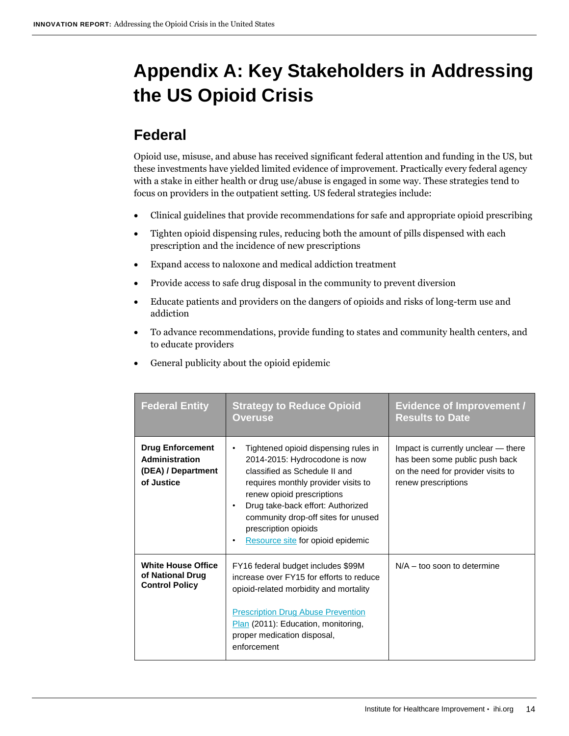# **Appendix A: Key Stakeholders in Addressing the US Opioid Crisis**

### <span id="page-13-0"></span>**Federal**

Opioid use, misuse, and abuse has received significant federal attention and funding in the US, but these investments have yielded limited evidence of improvement. Practically every federal agency with a stake in either health or drug use/abuse is engaged in some way. These strategies tend to focus on providers in the outpatient setting. US federal strategies include:

- Clinical guidelines that provide recommendations for safe and appropriate opioid prescribing
- Tighten opioid dispensing rules, reducing both the amount of pills dispensed with each prescription and the incidence of new prescriptions
- Expand access to naloxone and medical addiction treatment
- Provide access to safe drug disposal in the community to prevent diversion
- Educate patients and providers on the dangers of opioids and risks of long-term use and addiction
- To advance recommendations, provide funding to states and community health centers, and to educate providers
- General publicity about the opioid epidemic

| <b>Federal Entity</b>                                                         | <b>Strategy to Reduce Opioid</b><br>Overuse                                                                                                                                                                                                                                                                               | <b>Evidence of Improvement /</b><br><b>Results to Date</b>                                                                         |
|-------------------------------------------------------------------------------|---------------------------------------------------------------------------------------------------------------------------------------------------------------------------------------------------------------------------------------------------------------------------------------------------------------------------|------------------------------------------------------------------------------------------------------------------------------------|
| <b>Drug Enforcement</b><br>Administration<br>(DEA) / Department<br>of Justice | Tightened opioid dispensing rules in<br>٠<br>2014-2015: Hydrocodone is now<br>classified as Schedule II and<br>requires monthly provider visits to<br>renew opioid prescriptions<br>Drug take-back effort: Authorized<br>community drop-off sites for unused<br>prescription opioids<br>Resource site for opioid epidemic | Impact is currently unclear - there<br>has been some public push back<br>on the need for provider visits to<br>renew prescriptions |
| <b>White House Office</b><br>of National Drug<br><b>Control Policy</b>        | FY16 federal budget includes \$99M<br>increase over FY15 for efforts to reduce<br>opioid-related morbidity and mortality<br><b>Prescription Drug Abuse Prevention</b><br>Plan (2011): Education, monitoring,<br>proper medication disposal,<br>enforcement                                                                | $N/A -$ too soon to determine                                                                                                      |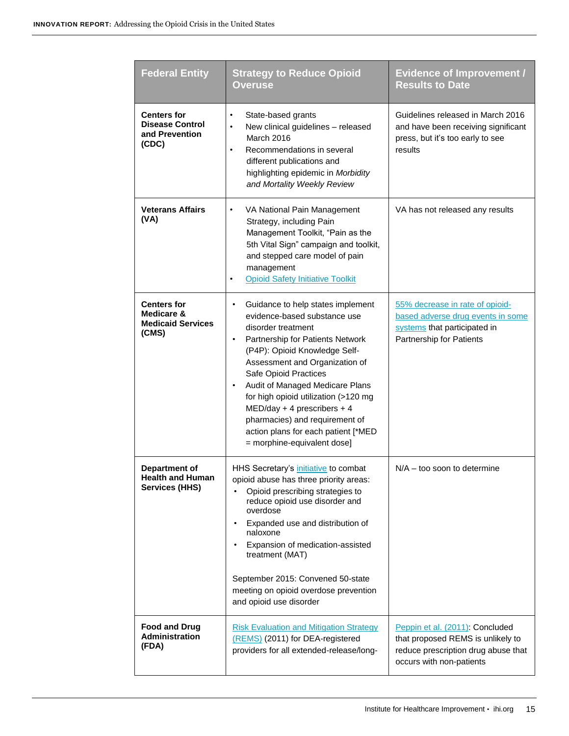| <b>Federal Entity</b>                                                   | <b>Strategy to Reduce Opioid</b><br><b>Overuse</b>                                                                                                                                                                                                                                                                                                                                                                                                                                 | <b>Evidence of Improvement /</b><br><b>Results to Date</b>                                                                              |
|-------------------------------------------------------------------------|------------------------------------------------------------------------------------------------------------------------------------------------------------------------------------------------------------------------------------------------------------------------------------------------------------------------------------------------------------------------------------------------------------------------------------------------------------------------------------|-----------------------------------------------------------------------------------------------------------------------------------------|
| <b>Centers for</b><br><b>Disease Control</b><br>and Prevention<br>(CDC) | State-based grants<br>$\bullet$<br>New clinical guidelines - released<br>$\bullet$<br>March 2016<br>Recommendations in several<br>different publications and<br>highlighting epidemic in Morbidity<br>and Mortality Weekly Review                                                                                                                                                                                                                                                  | Guidelines released in March 2016<br>and have been receiving significant<br>press, but it's too early to see<br>results                 |
| <b>Veterans Affairs</b><br>(VA)                                         | VA National Pain Management<br>$\bullet$<br>Strategy, including Pain<br>Management Toolkit, "Pain as the<br>5th Vital Sign" campaign and toolkit,<br>and stepped care model of pain<br>management<br><b>Opioid Safety Initiative Toolkit</b>                                                                                                                                                                                                                                       | VA has not released any results                                                                                                         |
| <b>Centers for</b><br>Medicare &<br><b>Medicaid Services</b><br>(CMS)   | Guidance to help states implement<br>$\bullet$<br>evidence-based substance use<br>disorder treatment<br>Partnership for Patients Network<br>$\bullet$<br>(P4P): Opioid Knowledge Self-<br>Assessment and Organization of<br>Safe Opioid Practices<br>Audit of Managed Medicare Plans<br>$\bullet$<br>for high opioid utilization (>120 mg<br>$MED/day + 4$ prescribers + 4<br>pharmacies) and requirement of<br>action plans for each patient [*MED<br>= morphine-equivalent dose] | 55% decrease in rate of opioid-<br>based adverse drug events in some<br>systems that participated in<br>Partnership for Patients        |
| Department of<br>Health and Human<br><b>Services (HHS)</b>              | HHS Secretary's initiative to combat<br>opioid abuse has three priority areas:<br>Opioid prescribing strategies to<br>reduce opioid use disorder and<br>overdose<br>Expanded use and distribution of<br>naloxone<br>Expansion of medication-assisted<br>treatment (MAT)<br>September 2015: Convened 50-state<br>meeting on opioid overdose prevention<br>and opioid use disorder                                                                                                   | $N/A -$ too soon to determine                                                                                                           |
| <b>Food and Drug</b><br><b>Administration</b><br>(FDA)                  | <b>Risk Evaluation and Mitigation Strategy</b><br>(REMS) (2011) for DEA-registered<br>providers for all extended-release/long-                                                                                                                                                                                                                                                                                                                                                     | Peppin et al. (2011): Concluded<br>that proposed REMS is unlikely to<br>reduce prescription drug abuse that<br>occurs with non-patients |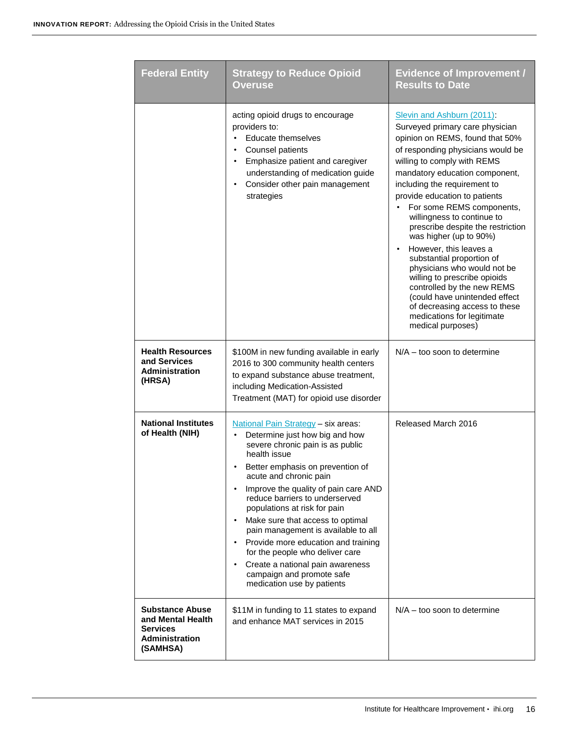| <b>Federal Entity</b>                                                                               | <b>Strategy to Reduce Opioid</b><br><b>Overuse</b>                                                                                                                                                                                                                                                                                                                                                                                                                                                                                                                                | <b>Evidence of Improvement /</b><br><b>Results to Date</b>                                                                                                                                                                                                                                                                                                                                                                                                                                                                                                                                                                                                                              |
|-----------------------------------------------------------------------------------------------------|-----------------------------------------------------------------------------------------------------------------------------------------------------------------------------------------------------------------------------------------------------------------------------------------------------------------------------------------------------------------------------------------------------------------------------------------------------------------------------------------------------------------------------------------------------------------------------------|-----------------------------------------------------------------------------------------------------------------------------------------------------------------------------------------------------------------------------------------------------------------------------------------------------------------------------------------------------------------------------------------------------------------------------------------------------------------------------------------------------------------------------------------------------------------------------------------------------------------------------------------------------------------------------------------|
|                                                                                                     | acting opioid drugs to encourage<br>providers to:<br>Educate themselves<br>$\bullet$<br>Counsel patients<br>٠<br>Emphasize patient and caregiver<br>$\bullet$<br>understanding of medication guide<br>Consider other pain management<br>٠<br>strategies                                                                                                                                                                                                                                                                                                                           | Slevin and Ashburn (2011):<br>Surveyed primary care physician<br>opinion on REMS, found that 50%<br>of responding physicians would be<br>willing to comply with REMS<br>mandatory education component,<br>including the requirement to<br>provide education to patients<br>For some REMS components,<br>willingness to continue to<br>prescribe despite the restriction<br>was higher (up to 90%)<br>However, this leaves a<br>$\bullet$<br>substantial proportion of<br>physicians who would not be<br>willing to prescribe opioids<br>controlled by the new REMS<br>(could have unintended effect<br>of decreasing access to these<br>medications for legitimate<br>medical purposes) |
| <b>Health Resources</b><br>and Services<br><b>Administration</b><br>(HRSA)                          | \$100M in new funding available in early<br>2016 to 300 community health centers<br>to expand substance abuse treatment,<br>including Medication-Assisted<br>Treatment (MAT) for opioid use disorder                                                                                                                                                                                                                                                                                                                                                                              | $N/A -$ too soon to determine                                                                                                                                                                                                                                                                                                                                                                                                                                                                                                                                                                                                                                                           |
| <b>National Institutes</b><br>of Health (NIH)                                                       | National Pain Strategy - six areas:<br>Determine just how big and how<br>severe chronic pain is as public<br>health issue<br>Better emphasis on prevention of<br>acute and chronic pain<br>Improve the quality of pain care AND<br>٠<br>reduce barriers to underserved<br>populations at risk for pain<br>Make sure that access to optimal<br>$\bullet$<br>pain management is available to all<br>Provide more education and training<br>٠<br>for the people who deliver care<br>Create a national pain awareness<br>٠<br>campaign and promote safe<br>medication use by patients | Released March 2016                                                                                                                                                                                                                                                                                                                                                                                                                                                                                                                                                                                                                                                                     |
| <b>Substance Abuse</b><br>and Mental Health<br><b>Services</b><br><b>Administration</b><br>(SAMHSA) | \$11M in funding to 11 states to expand<br>and enhance MAT services in 2015                                                                                                                                                                                                                                                                                                                                                                                                                                                                                                       | $N/A -$ too soon to determine                                                                                                                                                                                                                                                                                                                                                                                                                                                                                                                                                                                                                                                           |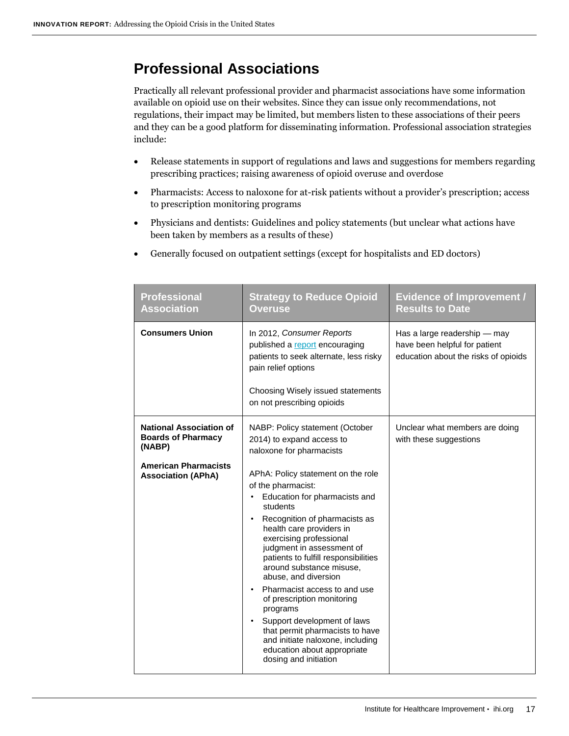### <span id="page-16-0"></span>**Professional Associations**

Practically all relevant professional provider and pharmacist associations have some information available on opioid use on their websites. Since they can issue only recommendations, not regulations, their impact may be limited, but members listen to these associations of their peers and they can be a good platform for disseminating information. Professional association strategies include:

- Release statements in support of regulations and laws and suggestions for members regarding prescribing practices; raising awareness of opioid overuse and overdose
- Pharmacists: Access to naloxone for at-risk patients without a provider's prescription; access to prescription monitoring programs
- Physicians and dentists: Guidelines and policy statements (but unclear what actions have been taken by members as a results of these)
- Generally focused on outpatient settings (except for hospitalists and ED doctors)

| <b>Professional</b><br><b>Association</b>                                                                                         | <b>Strategy to Reduce Opioid</b><br><b>Overuse</b>                                                                                                                                                                                                                                                                                                                                                                                                                                                                                                                                                                                                                                             | <b>Evidence of Improvement /</b><br><b>Results to Date</b>                                            |
|-----------------------------------------------------------------------------------------------------------------------------------|------------------------------------------------------------------------------------------------------------------------------------------------------------------------------------------------------------------------------------------------------------------------------------------------------------------------------------------------------------------------------------------------------------------------------------------------------------------------------------------------------------------------------------------------------------------------------------------------------------------------------------------------------------------------------------------------|-------------------------------------------------------------------------------------------------------|
| <b>Consumers Union</b>                                                                                                            | In 2012, Consumer Reports<br>published a report encouraging<br>patients to seek alternate, less risky<br>pain relief options<br>Choosing Wisely issued statements<br>on not prescribing opioids                                                                                                                                                                                                                                                                                                                                                                                                                                                                                                | Has a large readership - may<br>have been helpful for patient<br>education about the risks of opioids |
| <b>National Association of</b><br><b>Boards of Pharmacy</b><br>(NABP)<br><b>American Pharmacists</b><br><b>Association (APhA)</b> | NABP: Policy statement (October<br>2014) to expand access to<br>naloxone for pharmacists<br>APhA: Policy statement on the role<br>of the pharmacist:<br>Education for pharmacists and<br>٠<br>students<br>Recognition of pharmacists as<br>$\bullet$<br>health care providers in<br>exercising professional<br>judgment in assessment of<br>patients to fulfill responsibilities<br>around substance misuse,<br>abuse, and diversion<br>Pharmacist access to and use<br>٠<br>of prescription monitoring<br>programs<br>Support development of laws<br>$\bullet$<br>that permit pharmacists to have<br>and initiate naloxone, including<br>education about appropriate<br>dosing and initiation | Unclear what members are doing<br>with these suggestions                                              |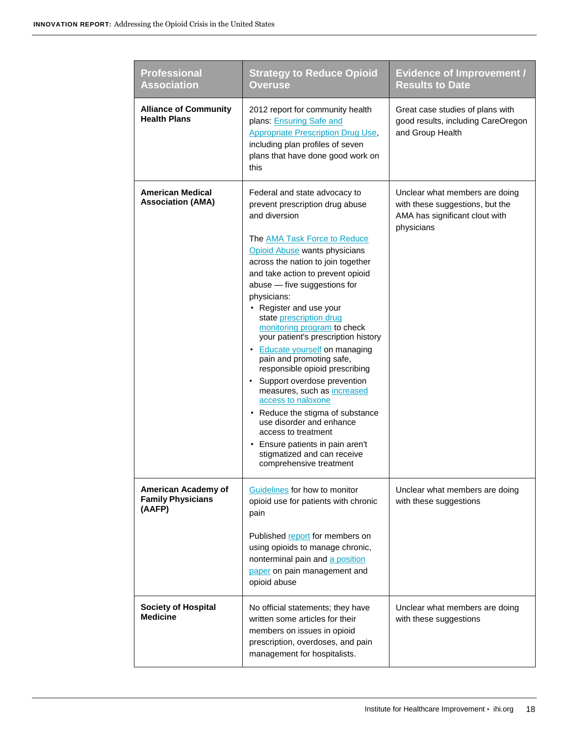| <b>Professional</b><br><b>Association</b>                 | <b>Strategy to Reduce Opioid</b><br><b>Overuse</b>                                                                                                                                                                                                                                                                                                                                                                                                                                                                                                                                                                                                                                                                                                                                         | <b>Evidence of Improvement /</b><br><b>Results to Date</b>                                                        |
|-----------------------------------------------------------|--------------------------------------------------------------------------------------------------------------------------------------------------------------------------------------------------------------------------------------------------------------------------------------------------------------------------------------------------------------------------------------------------------------------------------------------------------------------------------------------------------------------------------------------------------------------------------------------------------------------------------------------------------------------------------------------------------------------------------------------------------------------------------------------|-------------------------------------------------------------------------------------------------------------------|
| <b>Alliance of Community</b><br><b>Health Plans</b>       | 2012 report for community health<br>plans: Ensuring Safe and<br><b>Appropriate Prescription Drug Use,</b><br>including plan profiles of seven<br>plans that have done good work on<br>this                                                                                                                                                                                                                                                                                                                                                                                                                                                                                                                                                                                                 | Great case studies of plans with<br>good results, including CareOregon<br>and Group Health                        |
| American Medical<br><b>Association (AMA)</b>              | Federal and state advocacy to<br>prevent prescription drug abuse<br>and diversion<br>The <b>AMA Task Force to Reduce</b><br>Opioid Abuse wants physicians<br>across the nation to join together<br>and take action to prevent opioid<br>abuse - five suggestions for<br>physicians:<br>• Register and use your<br>state prescription drug<br>monitoring program to check<br>your patient's prescription history<br>• Educate yourself on managing<br>pain and promoting safe,<br>responsible opioid prescribing<br>• Support overdose prevention<br>measures, such as increased<br>access to naloxone<br>• Reduce the stigma of substance<br>use disorder and enhance<br>access to treatment<br>• Ensure patients in pain aren't<br>stigmatized and can receive<br>comprehensive treatment | Unclear what members are doing<br>with these suggestions, but the<br>AMA has significant clout with<br>physicians |
| American Academy of<br><b>Family Physicians</b><br>(AAFP) | Guidelines for how to monitor<br>opioid use for patients with chronic<br>pain<br>Published report for members on<br>using opioids to manage chronic,<br>nonterminal pain and a position<br>paper on pain management and<br>opioid abuse                                                                                                                                                                                                                                                                                                                                                                                                                                                                                                                                                    | Unclear what members are doing<br>with these suggestions                                                          |
| <b>Society of Hospital</b><br><b>Medicine</b>             | No official statements; they have<br>written some articles for their<br>members on issues in opioid<br>prescription, overdoses, and pain<br>management for hospitalists.                                                                                                                                                                                                                                                                                                                                                                                                                                                                                                                                                                                                                   | Unclear what members are doing<br>with these suggestions                                                          |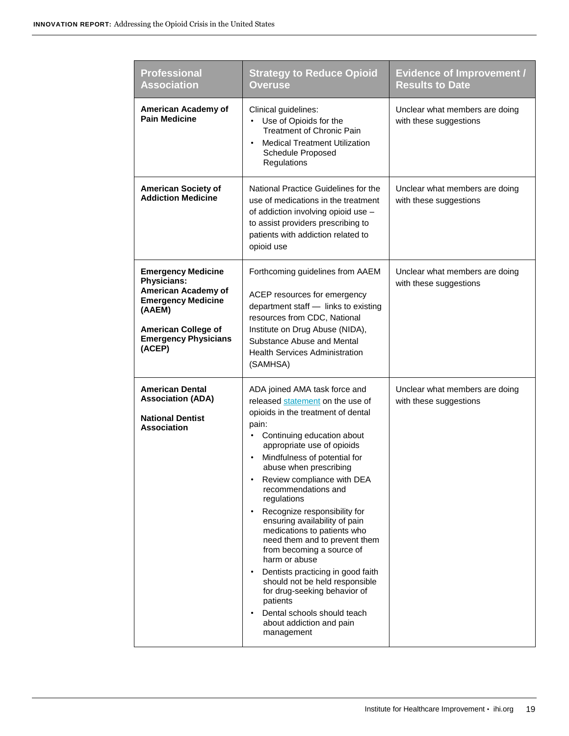| <b>Professional</b><br><b>Association</b>                                                                                                                                            | <b>Strategy to Reduce Opioid</b><br><b>Overuse</b>                                                                                                                                                                                                                                                                                                                                                                                                                                                                                                                                                                                                                                                              | <b>Evidence of Improvement /</b><br><b>Results to Date</b> |
|--------------------------------------------------------------------------------------------------------------------------------------------------------------------------------------|-----------------------------------------------------------------------------------------------------------------------------------------------------------------------------------------------------------------------------------------------------------------------------------------------------------------------------------------------------------------------------------------------------------------------------------------------------------------------------------------------------------------------------------------------------------------------------------------------------------------------------------------------------------------------------------------------------------------|------------------------------------------------------------|
| American Academy of<br><b>Pain Medicine</b>                                                                                                                                          | Clinical guidelines:<br>Use of Opioids for the<br><b>Treatment of Chronic Pain</b><br><b>Medical Treatment Utilization</b><br>Schedule Proposed<br>Regulations                                                                                                                                                                                                                                                                                                                                                                                                                                                                                                                                                  | Unclear what members are doing<br>with these suggestions   |
| <b>American Society of</b><br><b>Addiction Medicine</b>                                                                                                                              | National Practice Guidelines for the<br>use of medications in the treatment<br>of addiction involving opioid use -<br>to assist providers prescribing to<br>patients with addiction related to<br>opioid use                                                                                                                                                                                                                                                                                                                                                                                                                                                                                                    | Unclear what members are doing<br>with these suggestions   |
| <b>Emergency Medicine</b><br><b>Physicians:</b><br>American Academy of<br><b>Emergency Medicine</b><br>(AAEM)<br><b>American College of</b><br><b>Emergency Physicians</b><br>(ACEP) | Forthcoming guidelines from AAEM<br>ACEP resources for emergency<br>department staff - links to existing<br>resources from CDC, National<br>Institute on Drug Abuse (NIDA),<br>Substance Abuse and Mental<br><b>Health Services Administration</b><br>(SAMHSA)                                                                                                                                                                                                                                                                                                                                                                                                                                                  | Unclear what members are doing<br>with these suggestions   |
| <b>American Dental</b><br><b>Association (ADA)</b><br><b>National Dentist</b><br><b>Association</b>                                                                                  | ADA joined AMA task force and<br>released statement on the use of<br>opioids in the treatment of dental<br>pain:<br>Continuing education about<br>$\bullet$<br>appropriate use of opioids<br>Mindfulness of potential for<br>$\bullet$<br>abuse when prescribing<br>Review compliance with DEA<br>recommendations and<br>regulations<br>Recognize responsibility for<br>ensuring availability of pain<br>medications to patients who<br>need them and to prevent them<br>from becoming a source of<br>harm or abuse<br>Dentists practicing in good faith<br>should not be held responsible<br>for drug-seeking behavior of<br>patients<br>Dental schools should teach<br>about addiction and pain<br>management | Unclear what members are doing<br>with these suggestions   |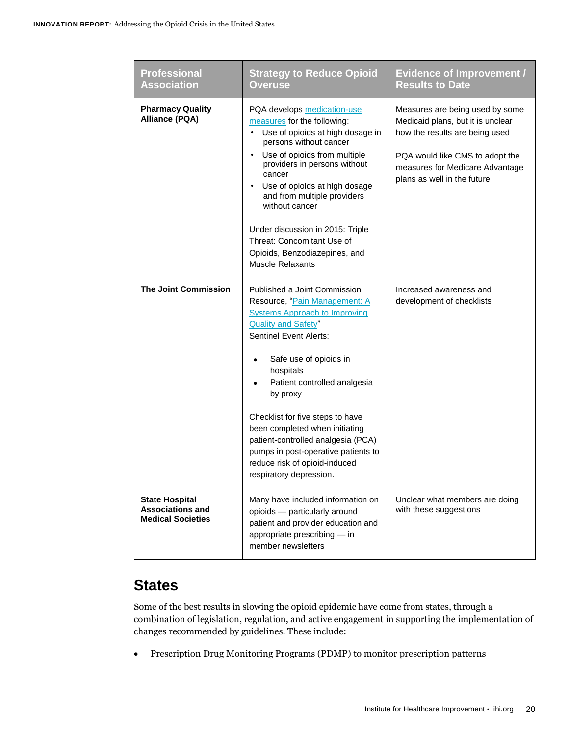| <b>Professional</b><br><b>Association</b>                                    | <b>Strategy to Reduce Opioid</b><br><b>Overuse</b>                                                                                                                                                                                                                                                                                                                                                                                                                                  | <b>Evidence of Improvement /</b><br><b>Results to Date</b>                                                                                                                                                  |
|------------------------------------------------------------------------------|-------------------------------------------------------------------------------------------------------------------------------------------------------------------------------------------------------------------------------------------------------------------------------------------------------------------------------------------------------------------------------------------------------------------------------------------------------------------------------------|-------------------------------------------------------------------------------------------------------------------------------------------------------------------------------------------------------------|
| <b>Pharmacy Quality</b><br><b>Alliance (PQA)</b>                             | PQA develops medication-use<br>measures for the following:<br>Use of opioids at high dosage in<br>persons without cancer<br>Use of opioids from multiple<br>providers in persons without<br>cancer<br>Use of opioids at high dosage<br>and from multiple providers<br>without cancer<br>Under discussion in 2015: Triple<br>Threat: Concomitant Use of<br>Opioids, Benzodiazepines, and<br><b>Muscle Relaxants</b>                                                                  | Measures are being used by some<br>Medicaid plans, but it is unclear<br>how the results are being used<br>PQA would like CMS to adopt the<br>measures for Medicare Advantage<br>plans as well in the future |
| <b>The Joint Commission</b>                                                  | Published a Joint Commission<br>Resource, "Pain Management: A<br><b>Systems Approach to Improving</b><br><b>Quality and Safety"</b><br><b>Sentinel Event Alerts:</b><br>Safe use of opioids in<br>$\bullet$<br>hospitals<br>Patient controlled analgesia<br>by proxy<br>Checklist for five steps to have<br>been completed when initiating<br>patient-controlled analgesia (PCA)<br>pumps in post-operative patients to<br>reduce risk of opioid-induced<br>respiratory depression. | Increased awareness and<br>development of checklists                                                                                                                                                        |
| <b>State Hospital</b><br><b>Associations and</b><br><b>Medical Societies</b> | Many have included information on<br>opioids - particularly around<br>patient and provider education and<br>appropriate prescribing - in<br>member newsletters                                                                                                                                                                                                                                                                                                                      | Unclear what members are doing<br>with these suggestions                                                                                                                                                    |

### <span id="page-19-0"></span>**States**

Some of the best results in slowing the opioid epidemic have come from states, through a combination of legislation, regulation, and active engagement in supporting the implementation of changes recommended by guidelines. These include:

Prescription Drug Monitoring Programs (PDMP) to monitor prescription patterns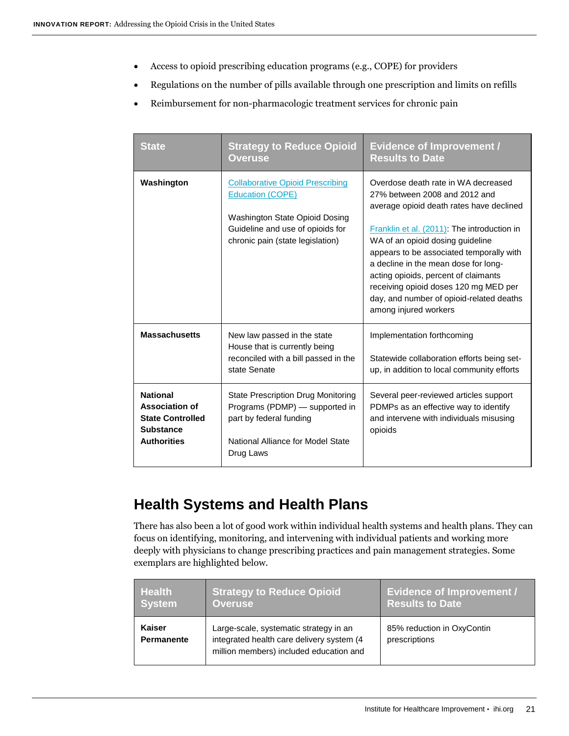- Access to opioid prescribing education programs (e.g., COPE) for providers
- Regulations on the number of pills available through one prescription and limits on refills
- Reimbursement for non-pharmacologic treatment services for chronic pain

| <b>State</b>                                                                                                  | <b>Strategy to Reduce Opioid</b><br><b>Overuse</b>                                                                                                                           | <b>Evidence of Improvement /</b><br><b>Results to Date</b>                                                                                                                                                                                                                                                                                                                                                                                    |
|---------------------------------------------------------------------------------------------------------------|------------------------------------------------------------------------------------------------------------------------------------------------------------------------------|-----------------------------------------------------------------------------------------------------------------------------------------------------------------------------------------------------------------------------------------------------------------------------------------------------------------------------------------------------------------------------------------------------------------------------------------------|
| Washington                                                                                                    | <b>Collaborative Opioid Prescribing</b><br><b>Education (COPE)</b><br>Washington State Opioid Dosing<br>Guideline and use of opioids for<br>chronic pain (state legislation) | Overdose death rate in WA decreased<br>27% between 2008 and 2012 and<br>average opioid death rates have declined<br>Franklin et al. (2011): The introduction in<br>WA of an opioid dosing guideline<br>appears to be associated temporally with<br>a decline in the mean dose for long-<br>acting opioids, percent of claimants<br>receiving opioid doses 120 mg MED per<br>day, and number of opioid-related deaths<br>among injured workers |
| <b>Massachusetts</b>                                                                                          | New law passed in the state<br>House that is currently being<br>reconciled with a bill passed in the<br>state Senate                                                         | Implementation forthcoming<br>Statewide collaboration efforts being set-<br>up, in addition to local community efforts                                                                                                                                                                                                                                                                                                                        |
| <b>National</b><br><b>Association of</b><br><b>State Controlled</b><br><b>Substance</b><br><b>Authorities</b> | <b>State Prescription Drug Monitoring</b><br>Programs (PDMP) - supported in<br>part by federal funding<br>National Alliance for Model State<br>Drug Laws                     | Several peer-reviewed articles support<br>PDMPs as an effective way to identify<br>and intervene with individuals misusing<br>opioids                                                                                                                                                                                                                                                                                                         |

### <span id="page-20-0"></span>**Health Systems and Health Plans**

There has also been a lot of good work within individual health systems and health plans. They can focus on identifying, monitoring, and intervening with individual patients and working more deeply with physicians to change prescribing practices and pain management strategies. Some exemplars are highlighted below.

| <b>Health</b>               | <b>Strategy to Reduce Opioid</b>                                                                                               | <b>Evidence of Improvement /</b>            |
|-----------------------------|--------------------------------------------------------------------------------------------------------------------------------|---------------------------------------------|
| System                      | <b>Overuse</b>                                                                                                                 | <b>Results to Date</b>                      |
| Kaiser<br><b>Permanente</b> | Large-scale, systematic strategy in an<br>integrated health care delivery system (4<br>million members) included education and | 85% reduction in OxyContin<br>prescriptions |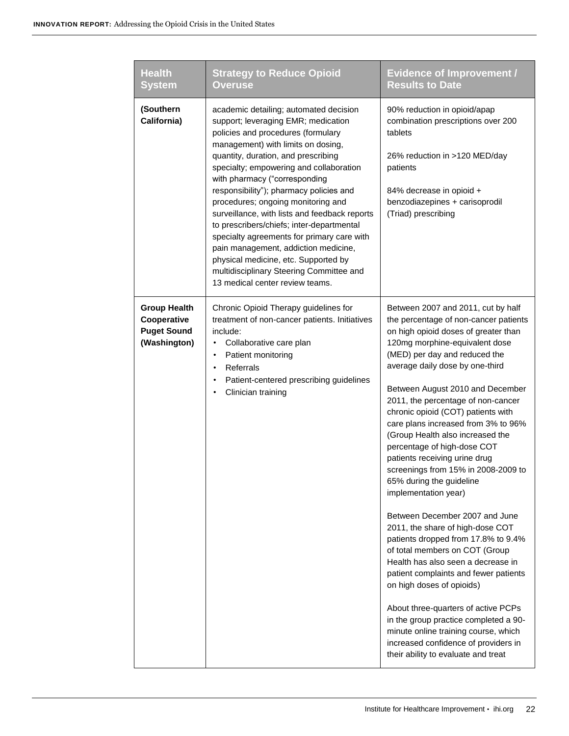| <b>Health</b><br><b>System</b>                                           | <b>Strategy to Reduce Opioid</b><br>Overuse                                                                                                                                                                                                                                                                                                                                                                                                                                                                                                                                                                                                                              | <b>Evidence of Improvement /</b><br><b>Results to Date</b>                                                                                                                                                                                                                                                                                                                                                                                                                                                                                                                                                                                                                                                                                                                                                                                                                                                                                                                                                                                        |
|--------------------------------------------------------------------------|--------------------------------------------------------------------------------------------------------------------------------------------------------------------------------------------------------------------------------------------------------------------------------------------------------------------------------------------------------------------------------------------------------------------------------------------------------------------------------------------------------------------------------------------------------------------------------------------------------------------------------------------------------------------------|---------------------------------------------------------------------------------------------------------------------------------------------------------------------------------------------------------------------------------------------------------------------------------------------------------------------------------------------------------------------------------------------------------------------------------------------------------------------------------------------------------------------------------------------------------------------------------------------------------------------------------------------------------------------------------------------------------------------------------------------------------------------------------------------------------------------------------------------------------------------------------------------------------------------------------------------------------------------------------------------------------------------------------------------------|
| (Southern<br>California)                                                 | academic detailing; automated decision<br>support; leveraging EMR; medication<br>policies and procedures (formulary<br>management) with limits on dosing,<br>quantity, duration, and prescribing<br>specialty; empowering and collaboration<br>with pharmacy ("corresponding<br>responsibility"); pharmacy policies and<br>procedures; ongoing monitoring and<br>surveillance, with lists and feedback reports<br>to prescribers/chiefs; inter-departmental<br>specialty agreements for primary care with<br>pain management, addiction medicine,<br>physical medicine, etc. Supported by<br>multidisciplinary Steering Committee and<br>13 medical center review teams. | 90% reduction in opioid/apap<br>combination prescriptions over 200<br>tablets<br>26% reduction in >120 MED/day<br>patients<br>84% decrease in opioid +<br>benzodiazepines + carisoprodil<br>(Triad) prescribing                                                                                                                                                                                                                                                                                                                                                                                                                                                                                                                                                                                                                                                                                                                                                                                                                                   |
| <b>Group Health</b><br>Cooperative<br><b>Puget Sound</b><br>(Washington) | Chronic Opioid Therapy guidelines for<br>treatment of non-cancer patients. Initiatives<br>include:<br>Collaborative care plan<br>Patient monitoring<br>$\bullet$<br>Referrals<br>$\bullet$<br>Patient-centered prescribing guidelines<br>٠<br>Clinician training                                                                                                                                                                                                                                                                                                                                                                                                         | Between 2007 and 2011, cut by half<br>the percentage of non-cancer patients<br>on high opioid doses of greater than<br>120mg morphine-equivalent dose<br>(MED) per day and reduced the<br>average daily dose by one-third<br>Between August 2010 and December<br>2011, the percentage of non-cancer<br>chronic opioid (COT) patients with<br>care plans increased from 3% to 96%<br>(Group Health also increased the<br>percentage of high-dose COT<br>patients receiving urine drug<br>screenings from 15% in 2008-2009 to<br>65% during the guideline<br>implementation year)<br>Between December 2007 and June<br>2011, the share of high-dose COT<br>patients dropped from 17.8% to 9.4%<br>of total members on COT (Group<br>Health has also seen a decrease in<br>patient complaints and fewer patients<br>on high doses of opioids)<br>About three-quarters of active PCPs<br>in the group practice completed a 90-<br>minute online training course, which<br>increased confidence of providers in<br>their ability to evaluate and treat |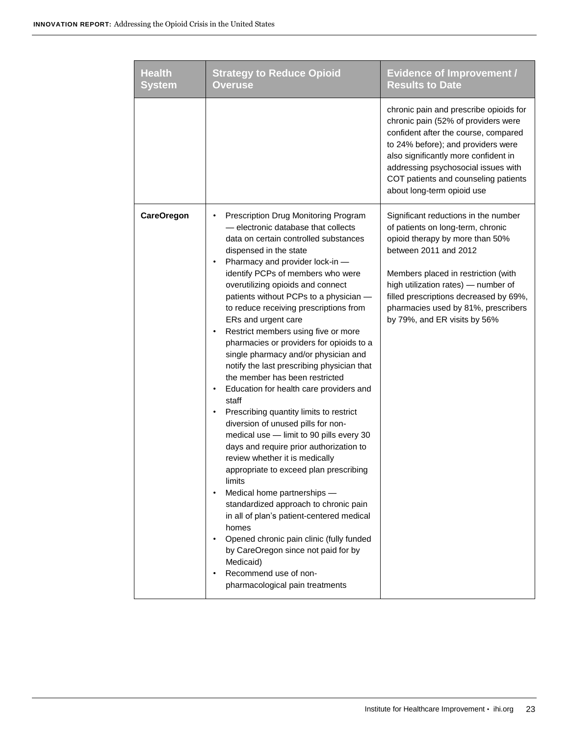| <b>Health</b><br>System | <b>Strategy to Reduce Opioid</b><br><b>Overuse</b>                                                                                                                                                                                                                                                                                                                                                                                                                                                                                                                                                                                                                                                                                                                                                                                                                                                                                                                                                                                                                                                                                                                                                                | <b>Evidence of Improvement /</b><br><b>Results to Date</b>                                                                                                                                                                                                                                                                           |
|-------------------------|-------------------------------------------------------------------------------------------------------------------------------------------------------------------------------------------------------------------------------------------------------------------------------------------------------------------------------------------------------------------------------------------------------------------------------------------------------------------------------------------------------------------------------------------------------------------------------------------------------------------------------------------------------------------------------------------------------------------------------------------------------------------------------------------------------------------------------------------------------------------------------------------------------------------------------------------------------------------------------------------------------------------------------------------------------------------------------------------------------------------------------------------------------------------------------------------------------------------|--------------------------------------------------------------------------------------------------------------------------------------------------------------------------------------------------------------------------------------------------------------------------------------------------------------------------------------|
|                         |                                                                                                                                                                                                                                                                                                                                                                                                                                                                                                                                                                                                                                                                                                                                                                                                                                                                                                                                                                                                                                                                                                                                                                                                                   | chronic pain and prescribe opioids for<br>chronic pain (52% of providers were<br>confident after the course, compared<br>to 24% before); and providers were<br>also significantly more confident in<br>addressing psychosocial issues with<br>COT patients and counseling patients<br>about long-term opioid use                     |
| <b>CareOregon</b>       | Prescription Drug Monitoring Program<br>- electronic database that collects<br>data on certain controlled substances<br>dispensed in the state<br>Pharmacy and provider lock-in -<br>identify PCPs of members who were<br>overutilizing opioids and connect<br>patients without PCPs to a physician -<br>to reduce receiving prescriptions from<br>ERs and urgent care<br>Restrict members using five or more<br>٠<br>pharmacies or providers for opioids to a<br>single pharmacy and/or physician and<br>notify the last prescribing physician that<br>the member has been restricted<br>Education for health care providers and<br>staff<br>Prescribing quantity limits to restrict<br>٠<br>diversion of unused pills for non-<br>medical use - limit to 90 pills every 30<br>days and require prior authorization to<br>review whether it is medically<br>appropriate to exceed plan prescribing<br>limits<br>Medical home partnerships -<br>٠<br>standardized approach to chronic pain<br>in all of plan's patient-centered medical<br>homes<br>Opened chronic pain clinic (fully funded<br>by CareOregon since not paid for by<br>Medicaid)<br>Recommend use of non-<br>٠<br>pharmacological pain treatments | Significant reductions in the number<br>of patients on long-term, chronic<br>opioid therapy by more than 50%<br>between 2011 and 2012<br>Members placed in restriction (with<br>high utilization rates) - number of<br>filled prescriptions decreased by 69%,<br>pharmacies used by 81%, prescribers<br>by 79%, and ER visits by 56% |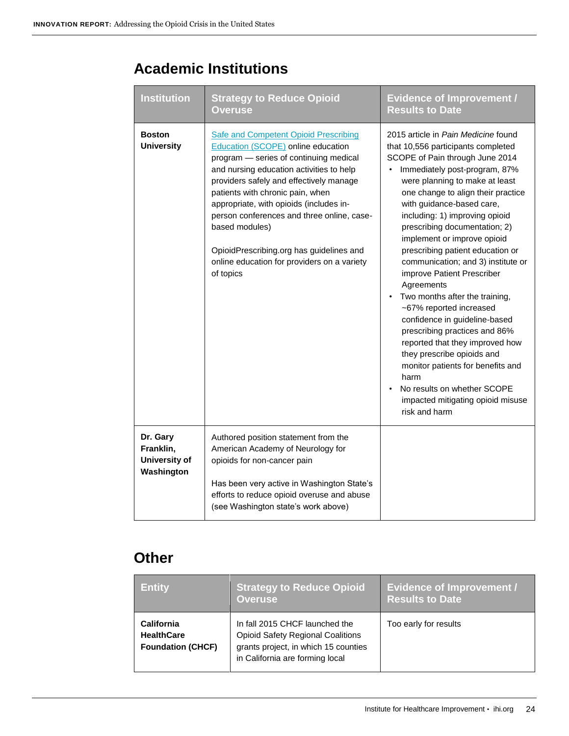### <span id="page-23-0"></span>**Academic Institutions**

| <b>Institution</b>                                   | <b>Strategy to Reduce Opioid</b><br><b>Overuse</b>                                                                                                                                                                                                                                                                                                                                                                                                                         | <b>Evidence of Improvement /</b><br><b>Results to Date</b>                                                                                                                                                                                                                                                                                                                                                                                                                                                                                                                                                                                                                                                                                                                                                   |
|------------------------------------------------------|----------------------------------------------------------------------------------------------------------------------------------------------------------------------------------------------------------------------------------------------------------------------------------------------------------------------------------------------------------------------------------------------------------------------------------------------------------------------------|--------------------------------------------------------------------------------------------------------------------------------------------------------------------------------------------------------------------------------------------------------------------------------------------------------------------------------------------------------------------------------------------------------------------------------------------------------------------------------------------------------------------------------------------------------------------------------------------------------------------------------------------------------------------------------------------------------------------------------------------------------------------------------------------------------------|
| <b>Boston</b><br><b>University</b>                   | <b>Safe and Competent Opioid Prescribing</b><br>Education (SCOPE) online education<br>program - series of continuing medical<br>and nursing education activities to help<br>providers safely and effectively manage<br>patients with chronic pain, when<br>appropriate, with opioids (includes in-<br>person conferences and three online, case-<br>based modules)<br>OpioidPrescribing.org has guidelines and<br>online education for providers on a variety<br>of topics | 2015 article in Pain Medicine found<br>that 10,556 participants completed<br>SCOPE of Pain through June 2014<br>Immediately post-program, 87%<br>were planning to make at least<br>one change to align their practice<br>with guidance-based care,<br>including: 1) improving opioid<br>prescribing documentation; 2)<br>implement or improve opioid<br>prescribing patient education or<br>communication; and 3) institute or<br>improve Patient Prescriber<br>Agreements<br>Two months after the training,<br>~67% reported increased<br>confidence in guideline-based<br>prescribing practices and 86%<br>reported that they improved how<br>they prescribe opioids and<br>monitor patients for benefits and<br>harm<br>No results on whether SCOPE<br>impacted mitigating opioid misuse<br>risk and harm |
| Dr. Gary<br>Franklin,<br>University of<br>Washington | Authored position statement from the<br>American Academy of Neurology for<br>opioids for non-cancer pain<br>Has been very active in Washington State's<br>efforts to reduce opioid overuse and abuse<br>(see Washington state's work above)                                                                                                                                                                                                                                |                                                                                                                                                                                                                                                                                                                                                                                                                                                                                                                                                                                                                                                                                                                                                                                                              |

### <span id="page-23-1"></span>**Other**

| <b>Entity</b>                                               | <b>Strategy to Reduce Opioid</b><br><b>Overuse</b>                                                                                                    | <b>Evidence of Improvement /</b><br><b>Results to Date</b> |
|-------------------------------------------------------------|-------------------------------------------------------------------------------------------------------------------------------------------------------|------------------------------------------------------------|
| California<br><b>HealthCare</b><br><b>Foundation (CHCF)</b> | In fall 2015 CHCF launched the<br><b>Opioid Safety Regional Coalitions</b><br>grants project, in which 15 counties<br>in California are forming local | Too early for results                                      |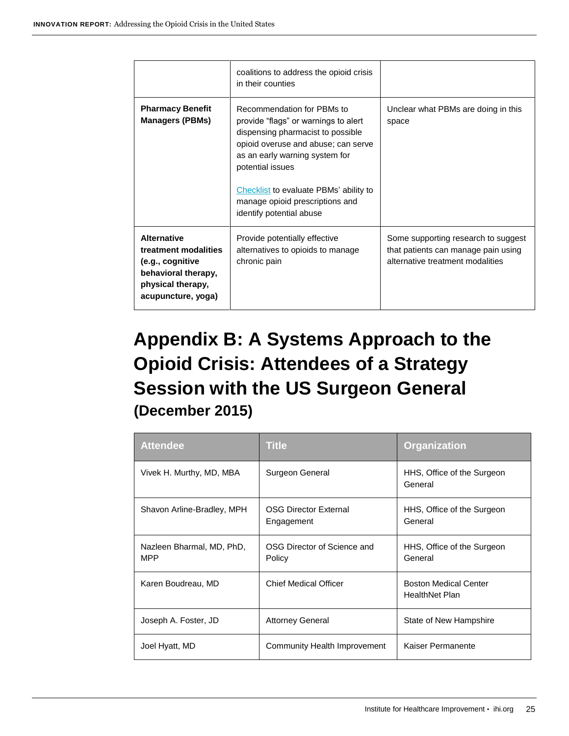|                                                                                                                                  | coalitions to address the opioid crisis<br>in their counties                                                                                                                                                                                                                                                  |                                                                                                                |
|----------------------------------------------------------------------------------------------------------------------------------|---------------------------------------------------------------------------------------------------------------------------------------------------------------------------------------------------------------------------------------------------------------------------------------------------------------|----------------------------------------------------------------------------------------------------------------|
| <b>Pharmacy Benefit</b><br><b>Managers (PBMs)</b>                                                                                | Recommendation for PBMs to<br>provide "flags" or warnings to alert<br>dispensing pharmacist to possible<br>opioid overuse and abuse; can serve<br>as an early warning system for<br>potential issues<br>Checklist to evaluate PBMs' ability to<br>manage opioid prescriptions and<br>identify potential abuse | Unclear what PBMs are doing in this<br>space                                                                   |
| <b>Alternative</b><br>treatment modalities<br>(e.g., cognitive<br>behavioral therapy,<br>physical therapy,<br>acupuncture, yoga) | Provide potentially effective<br>alternatives to opioids to manage<br>chronic pain                                                                                                                                                                                                                            | Some supporting research to suggest<br>that patients can manage pain using<br>alternative treatment modalities |

# <span id="page-24-0"></span>**Appendix B: A Systems Approach to the Opioid Crisis: Attendees of a Strategy Session with the US Surgeon General (December 2015)**

| <b>Attendee</b>                         | <b>Title</b>                               | <b>Organization</b>                                   |
|-----------------------------------------|--------------------------------------------|-------------------------------------------------------|
| Vivek H. Murthy, MD, MBA                | Surgeon General                            | HHS, Office of the Surgeon<br>General                 |
| Shavon Arline-Bradley, MPH              | <b>OSG Director External</b><br>Engagement | HHS, Office of the Surgeon<br>General                 |
| Nazleen Bharmal, MD, PhD,<br><b>MPP</b> | OSG Director of Science and<br>Policy      | HHS, Office of the Surgeon<br>General                 |
| Karen Boudreau, MD                      | <b>Chief Medical Officer</b>               | <b>Boston Medical Center</b><br><b>HealthNet Plan</b> |
| Joseph A. Foster, JD                    | <b>Attorney General</b>                    | State of New Hampshire                                |
| Joel Hyatt, MD                          | Community Health Improvement               | Kaiser Permanente                                     |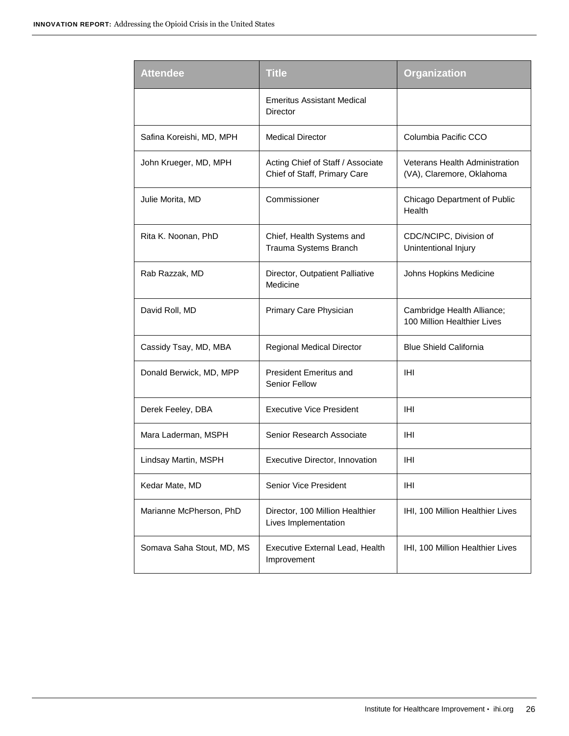| <b>Attendee</b>           | <b>Title</b>                                                      | <b>Organization</b>                                         |
|---------------------------|-------------------------------------------------------------------|-------------------------------------------------------------|
|                           | <b>Emeritus Assistant Medical</b><br>Director                     |                                                             |
| Safina Koreishi, MD, MPH  | <b>Medical Director</b>                                           | Columbia Pacific CCO                                        |
| John Krueger, MD, MPH     | Acting Chief of Staff / Associate<br>Chief of Staff, Primary Care | Veterans Health Administration<br>(VA), Claremore, Oklahoma |
| Julie Morita, MD          | Commissioner                                                      | Chicago Department of Public<br>Health                      |
| Rita K. Noonan, PhD       | Chief, Health Systems and<br>Trauma Systems Branch                | CDC/NCIPC, Division of<br>Unintentional Injury              |
| Rab Razzak, MD            | Director, Outpatient Palliative<br>Medicine                       | Johns Hopkins Medicine                                      |
| David Roll, MD            | Primary Care Physician                                            | Cambridge Health Alliance;<br>100 Million Healthier Lives   |
| Cassidy Tsay, MD, MBA     | Regional Medical Director                                         | <b>Blue Shield California</b>                               |
| Donald Berwick, MD, MPP   | <b>President Emeritus and</b><br><b>Senior Fellow</b>             | IHI                                                         |
| Derek Feeley, DBA         | <b>Executive Vice President</b>                                   | IHI                                                         |
| Mara Laderman, MSPH       | Senior Research Associate                                         | IHI                                                         |
| Lindsay Martin, MSPH      | Executive Director, Innovation                                    | IHI                                                         |
| Kedar Mate, MD            | Senior Vice President                                             | IHI                                                         |
| Marianne McPherson, PhD   | Director, 100 Million Healthier<br>Lives Implementation           | IHI, 100 Million Healthier Lives                            |
| Somava Saha Stout, MD, MS | Executive External Lead, Health<br>Improvement                    | IHI, 100 Million Healthier Lives                            |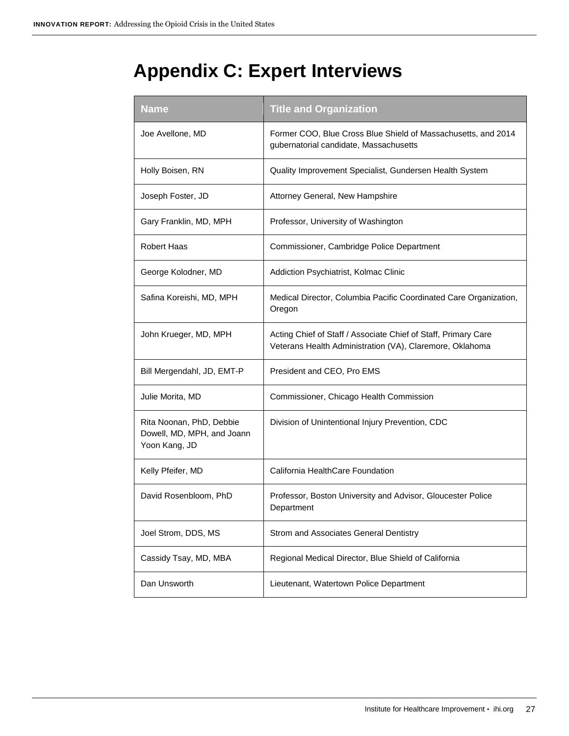# <span id="page-26-0"></span>**Appendix C: Expert Interviews**

<span id="page-26-1"></span>

| <b>Name</b>                                                             | <b>Title and Organization</b>                                                                                              |
|-------------------------------------------------------------------------|----------------------------------------------------------------------------------------------------------------------------|
| Joe Avellone, MD                                                        | Former COO, Blue Cross Blue Shield of Massachusetts, and 2014<br>gubernatorial candidate, Massachusetts                    |
| Holly Boisen, RN                                                        | Quality Improvement Specialist, Gundersen Health System                                                                    |
| Joseph Foster, JD                                                       | Attorney General, New Hampshire                                                                                            |
| Gary Franklin, MD, MPH                                                  | Professor, University of Washington                                                                                        |
| Robert Haas                                                             | Commissioner, Cambridge Police Department                                                                                  |
| George Kolodner, MD                                                     | Addiction Psychiatrist, Kolmac Clinic                                                                                      |
| Safina Koreishi, MD, MPH                                                | Medical Director, Columbia Pacific Coordinated Care Organization,<br>Oregon                                                |
| John Krueger, MD, MPH                                                   | Acting Chief of Staff / Associate Chief of Staff, Primary Care<br>Veterans Health Administration (VA), Claremore, Oklahoma |
| Bill Mergendahl, JD, EMT-P                                              | President and CEO, Pro EMS                                                                                                 |
| Julie Morita, MD                                                        | Commissioner, Chicago Health Commission                                                                                    |
| Rita Noonan, PhD, Debbie<br>Dowell, MD, MPH, and Joann<br>Yoon Kang, JD | Division of Unintentional Injury Prevention, CDC                                                                           |
| Kelly Pfeifer, MD                                                       | California HealthCare Foundation                                                                                           |
| David Rosenbloom, PhD                                                   | Professor, Boston University and Advisor, Gloucester Police<br>Department                                                  |
| Joel Strom, DDS, MS                                                     | Strom and Associates General Dentistry                                                                                     |
| Cassidy Tsay, MD, MBA                                                   | Regional Medical Director, Blue Shield of California                                                                       |
| Dan Unsworth                                                            | Lieutenant, Watertown Police Department                                                                                    |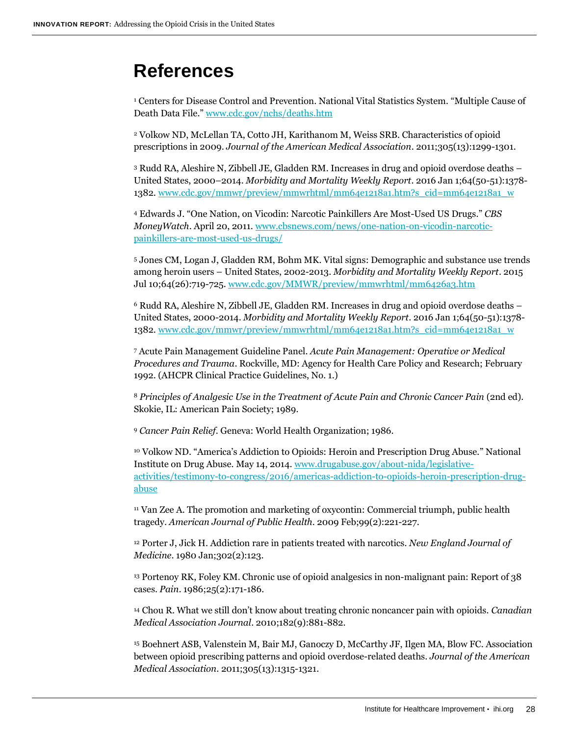### **References**

<sup>1</sup> Centers for Disease Control and Prevention. National Vital Statistics System. "Multiple Cause of Death Data File." [www.cdc.gov/nchs/deaths.htm](http://www.cdc.gov/nchs/nvss.htm)

<sup>2</sup> Volkow ND, McLellan TA, Cotto JH, Karithanom M, Weiss SRB. Characteristics of opioid prescriptions in 2009. *Journal of the American Medical Association*. 2011;305(13):1299-1301.

<sup>3</sup> Rudd RA, Aleshire N, Zibbell JE, Gladden RM. Increases in drug and opioid overdose deaths – United States, 2000–2014. *Morbidity and Mortality Weekly Report*. 2016 Jan 1;64(50-51):1378- 1382. [www.cdc.gov/mmwr/preview/mmwrhtml/mm64e1218a1.htm?s\\_cid=mm64e1218a1\\_w](http://www.cdc.gov/mmwr/preview/mmwrhtml/mm64e1218a1.htm?s_cid=mm64e1218a1_w)

<sup>4</sup> Edwards J. "One Nation, on Vicodin: Narcotic Painkillers Are Most-Used US Drugs." *CBS MoneyWatch*. April 20, 2011[. www.cbsnews.com/news/one-nation-on-vicodin-narcotic](http://www.cbsnews.com/news/one-nation-on-vicodin-narcotic-painkillers-are-most-used-us-drugs/)[painkillers-are-most-used-us-drugs/](http://www.cbsnews.com/news/one-nation-on-vicodin-narcotic-painkillers-are-most-used-us-drugs/)

<sup>5</sup> Jones CM, Logan J, Gladden RM, Bohm MK. Vital signs: Demographic and substance use trends among heroin users – United States, 2002-2013. *Morbidity and Mortality Weekly Report*. 2015 Jul 10;64(26):719-725. [www.cdc.gov/MMWR/preview/mmwrhtml/mm6426a3.htm](http://www.cdc.gov/MMWR/preview/mmwrhtml/mm6426a3.htm)

<sup>6</sup> Rudd RA, Aleshire N, Zibbell JE, Gladden RM. Increases in drug and opioid overdose deaths – United States, 2000-2014. *Morbidity and Mortality Weekly Report*. 2016 Jan 1;64(50-51):1378- 1382. [www.cdc.gov/mmwr/preview/mmwrhtml/mm64e1218a1.htm?s\\_cid=mm64e1218a1\\_w](http://www.cdc.gov/mmwr/preview/mmwrhtml/mm64e1218a1.htm?s_cid=mm64e1218a1_w)

<sup>7</sup> Acute Pain Management Guideline Panel. *Acute Pain Management: Operative or Medical Procedures and Trauma*. Rockville, MD: Agency for Health Care Policy and Research; February 1992. (AHCPR Clinical Practice Guidelines, No. 1.)

<sup>8</sup> *Principles of Analgesic Use in the Treatment of Acute Pain and Chronic Cancer Pain* (2nd ed). Skokie, IL: American Pain Society; 1989.

<sup>9</sup> *Cancer Pain Relief*. Geneva: World Health Organization; 1986.

<sup>10</sup> Volkow ND. "America's Addiction to Opioids: Heroin and Prescription Drug Abuse." National Institute on Drug Abuse. May 14, 2014. [www.drugabuse.gov/about-nida/legislative](https://www.drugabuse.gov/about-nida/legislative-activities/testimony-to-congress/2016/americas-addiction-to-opioids-heroin-prescription-drug-abuse)[activities/testimony-to-congress/2016/americas-addiction-to-opioids-heroin-prescription-drug](https://www.drugabuse.gov/about-nida/legislative-activities/testimony-to-congress/2016/americas-addiction-to-opioids-heroin-prescription-drug-abuse)[abuse](https://www.drugabuse.gov/about-nida/legislative-activities/testimony-to-congress/2016/americas-addiction-to-opioids-heroin-prescription-drug-abuse)

<sup>11</sup> Van Zee A. The promotion and marketing of oxycontin: Commercial triumph, public health tragedy. *American Journal of Public Health*. 2009 Feb;99(2):221-227.

<sup>12</sup> Porter J, Jick H. Addiction rare in patients treated with narcotics. *New England Journal of Medicine*. 1980 Jan;302(2):123.

<sup>13</sup> Portenoy RK, Foley KM. Chronic use of opioid analgesics in non-malignant pain: Report of 38 cases. *Pain*. 1986;25(2):171-186.

<sup>14</sup> Chou R. What we still don't know about treating chronic noncancer pain with opioids. *Canadian Medical Association Journal*. 2010;182(9):881-882.

<sup>15</sup> Boehnert ASB, Valenstein M, Bair MJ, Ganoczy D, McCarthy JF, Ilgen MA, Blow FC. Association between opioid prescribing patterns and opioid overdose-related deaths. *Journal of the American Medical Association*. 2011;305(13):1315-1321.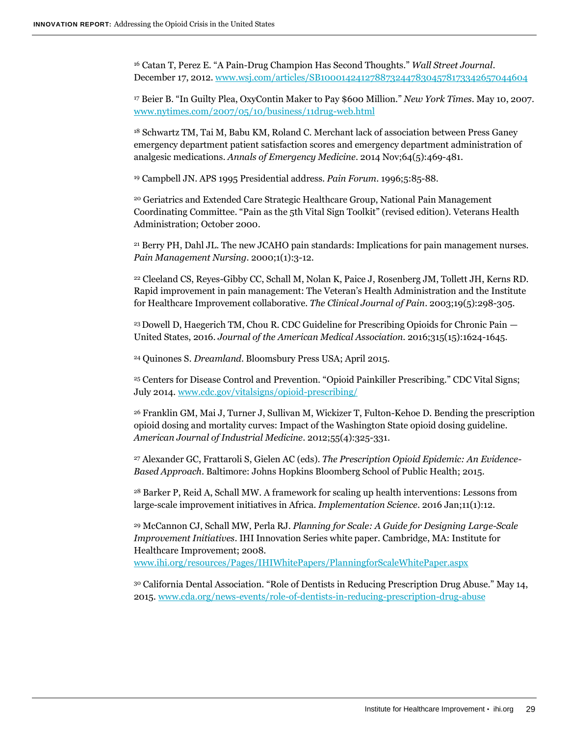<sup>16</sup> Catan T, Perez E. "A Pain-Drug Champion Has Second Thoughts." *Wall Street Journal*. December 17, 2012[. www.wsj.com/articles/SB10001424127887324478304578173342657044604](http://www.wsj.com/articles/SB10001424127887324478304578173342657044604)

<sup>17</sup> Beier B. "In Guilty Plea, OxyContin Maker to Pay \$600 Million." *New York Times*. May 10, 2007. [www.nytimes.com/2007/05/10/business/11drug-web.html](http://www.nytimes.com/2007/05/10/business/11drug-web.html)

<sup>18</sup> Schwartz TM, Tai M, Babu KM, Roland C. Merchant lack of association between Press Ganey emergency department patient satisfaction scores and emergency department administration of analgesic medications. *Annals of Emergency Medicine*. 2014 Nov;64(5):469-481.

<sup>19</sup> Campbell JN. APS 1995 Presidential address. *Pain Forum*. 1996;5:85-88.

<sup>20</sup> Geriatrics and Extended Care Strategic Healthcare Group, National Pain Management Coordinating Committee. "Pain as the 5th Vital Sign Toolkit" (revised edition). Veterans Health Administration; October 2000.

<sup>21</sup> Berry PH, Dahl JL. The new JCAHO pain standards: Implications for pain management nurses. *Pain Management Nursing*. 2000;1(1):3-12.

<sup>22</sup> Cleeland CS, Reyes-Gibby CC, Schall M, Nolan K, Paice J, Rosenberg JM, Tollett JH, Kerns RD. Rapid improvement in pain management: The Veteran's Health Administration and the Institute for Healthcare Improvement collaborative. *The Clinical Journal of Pain*. 2003;19(5):298-305.

<sup>23</sup>Dowell D, Haegerich TM, Chou R. CDC Guideline for Prescribing Opioids for Chronic Pain — United States, 2016. *Journal of the American Medical Association*. 2016;315(15):1624-1645.

<sup>24</sup> Quinones S. *Dreamland*. Bloomsbury Press USA; April 2015.

<sup>25</sup> Centers for Disease Control and Prevention. "Opioid Painkiller Prescribing." CDC Vital Signs; July 2014[. www.cdc.gov/vitalsigns/opioid-prescribing/](http://www.cdc.gov/vitalsigns/opioid-prescribing/)

<sup>26</sup> Franklin GM, Mai J, Turner J, Sullivan M, Wickizer T, Fulton-Kehoe D. Bending the prescription opioid dosing and mortality curves: Impact of the Washington State opioid dosing guideline. *American Journal of Industrial Medicine*. 2012;55(4):325-331.

<sup>27</sup> Alexander GC, Frattaroli S, Gielen AC (eds). *The Prescription Opioid Epidemic: An Evidence-Based Approach*. Baltimore: Johns Hopkins Bloomberg School of Public Health; 2015.

<sup>28</sup> Barker P, Reid A, Schall MW. A framework for scaling up health interventions: Lessons from large-scale improvement initiatives in Africa. *Implementation Science*. 2016 Jan;11(1):12.

<sup>29</sup> McCannon CJ, Schall MW, Perla RJ. *Planning for Scale: A Guide for Designing Large-Scale Improvement Initiatives*. IHI Innovation Series white paper. Cambridge, MA: Institute for Healthcare Improvement; 2008. [www.ihi.org/resources/Pages/IHIWhitePapers/PlanningforScaleWhitePaper.aspx](http://www.ihi.org/resources/Pages/IHIWhitePapers/PlanningforScaleWhitePaper.aspx)

<sup>30</sup> California Dental Association. "Role of Dentists in Reducing Prescription Drug Abuse." May 14, 2015. [www.cda.org/news-events/role-of-dentists-in-reducing-prescription-drug-abuse](http://www.cda.org/news-events/role-of-dentists-in-reducing-prescription-drug-abuse)